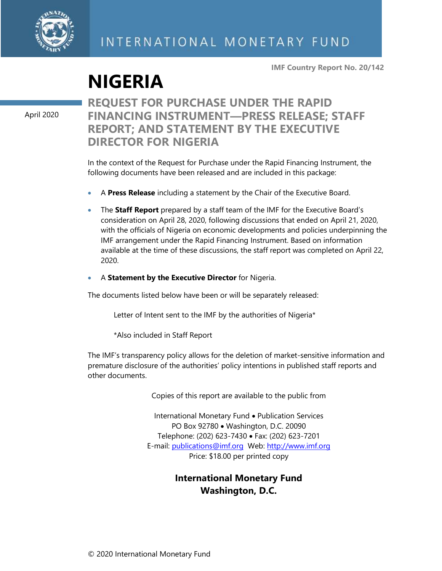

**IMF Country Report No. 20/142**

# **NIGERIA**

April 2020

### **REQUEST FOR PURCHASE UNDER THE RAPID FINANCING INSTRUMENT—PRESS RELEASE; STAFF REPORT; AND STATEMENT BY THE EXECUTIVE DIRECTOR FOR NIGERIA**

In the context of the Request for Purchase under the Rapid Financing Instrument, the following documents have been released and are included in this package:

- A **Press Release** including a statement by the Chair of the Executive Board.
- The **Staff Report** prepared by a staff team of the IMF for the Executive Board's consideration on April 28, 2020, following discussions that ended on April 21, 2020, with the officials of Nigeria on economic developments and policies underpinning the IMF arrangement under the Rapid Financing Instrument. Based on information available at the time of these discussions, the staff report was completed on April 22, 2020.
- A **Statement by the Executive Director** for Nigeria.

The documents listed below have been or will be separately released:

Letter of Intent sent to the IMF by the authorities of Nigeria\*

\*Also included in Staff Report

The IMF's transparency policy allows for the deletion of market-sensitive information and premature disclosure of the authorities' policy intentions in published staff reports and other documents.

Copies of this report are available to the public from

International Monetary Fund • Publication Services PO Box 92780 • Washington, D.C. 20090 Telephone: (202) 623-7430 • Fax: (202) 623-7201 E-mail: [publications@imf.org](mailto:publications@imf.org) Web: [http://www.imf.org](http://www.imf.org/) Price: \$18.00 per printed copy

### **International Monetary Fund Washington, D.C.**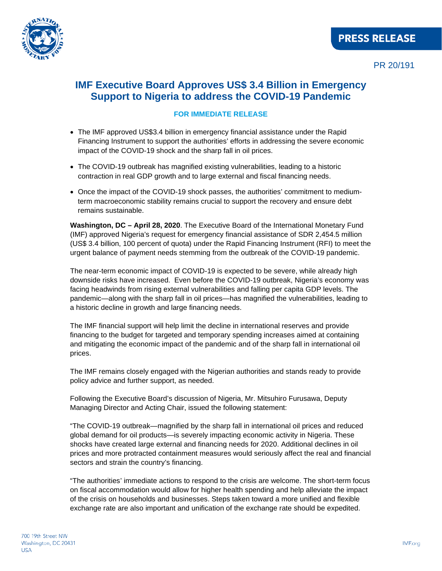

### **IMF Executive Board Approves US\$ 3.4 Billion in Emergency Support to Nigeria to address the COVID-19 Pandemic**

#### **FOR IMMEDIATE RELEASE**

- The IMF approved US\$3.4 billion in emergency financial assistance under the Rapid Financing Instrument to support the authorities' efforts in addressing the severe economic impact of the COVID-19 shock and the sharp fall in oil prices.
- The COVID-19 outbreak has magnified existing vulnerabilities, leading to a historic contraction in real GDP growth and to large external and fiscal financing needs.
- Once the impact of the COVID-19 shock passes, the authorities' commitment to mediumterm macroeconomic stability remains crucial to support the recovery and ensure debt remains sustainable.

**Washington, DC – April 28, 2020**. The Executive Board of the International Monetary Fund (IMF) approved Nigeria's request for emergency financial assistance of SDR 2,454.5 million (US\$ 3.4 billion, 100 percent of quota) under the Rapid Financing Instrument (RFI) to meet the urgent balance of payment needs stemming from the outbreak of the COVID-19 pandemic.

The near-term economic impact of COVID-19 is expected to be severe, while already high downside risks have increased. Even before the COVID-19 outbreak, Nigeria's economy was facing headwinds from rising external vulnerabilities and falling per capita GDP levels. The pandemic—along with the sharp fall in oil prices—has magnified the vulnerabilities, leading to a historic decline in growth and large financing needs.

The IMF financial support will help limit the decline in international reserves and provide financing to the budget for targeted and temporary spending increases aimed at containing and mitigating the economic impact of the pandemic and of the sharp fall in international oil prices.

The IMF remains closely engaged with the Nigerian authorities and stands ready to provide policy advice and further support, as needed.

Following the Executive Board's discussion of Nigeria, Mr. Mitsuhiro Furusawa, Deputy Managing Director and Acting Chair, issued the following statement:

"The COVID-19 outbreak—magnified by the sharp fall in international oil prices and reduced global demand for oil products—is severely impacting economic activity in Nigeria. These shocks have created large external and financing needs for 2020. Additional declines in oil prices and more protracted containment measures would seriously affect the real and financial sectors and strain the country's financing.

"The authorities' immediate actions to respond to the crisis are welcome. The short-term focus on fiscal accommodation would allow for higher health spending and help alleviate the impact of the crisis on households and businesses. Steps taken toward a more unified and flexible exchange rate are also important and unification of the exchange rate should be expedited.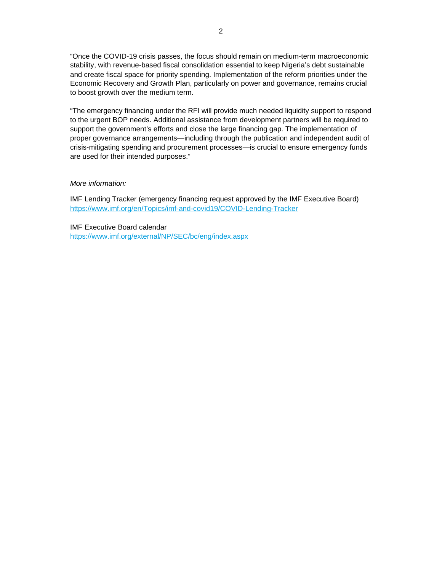"Once the COVID-19 crisis passes, the focus should remain on medium-term macroeconomic stability, with revenue-based fiscal consolidation essential to keep Nigeria's debt sustainable and create fiscal space for priority spending. Implementation of the reform priorities under the Economic Recovery and Growth Plan, particularly on power and governance, remains crucial to boost growth over the medium term.

"The emergency financing under the RFI will provide much needed liquidity support to respond to the urgent BOP needs. Additional assistance from development partners will be required to support the government's efforts and close the large financing gap. The implementation of proper governance arrangements—including through the publication and independent audit of crisis-mitigating spending and procurement processes—is crucial to ensure emergency funds are used for their intended purposes."

#### *More information:*

IMF Lending Tracker (emergency financing request approved by the IMF Executive Board) <https://www.imf.org/en/Topics/imf-and-covid19/COVID-Lending-Tracker>

IMF Executive Board calendar <https://www.imf.org/external/NP/SEC/bc/eng/index.aspx>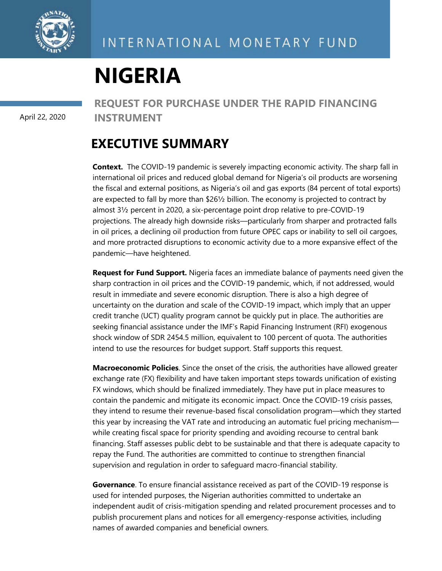

# **NIGERIA**

April 22, 2020

**REQUEST FOR PURCHASE UNDER THE RAPID FINANCING INSTRUMENT**

# **EXECUTIVE SUMMARY**

**Context.** The COVID-19 pandemic is severely impacting economic activity. The sharp fall in international oil prices and reduced global demand for Nigeria's oil products are worsening the fiscal and external positions, as Nigeria's oil and gas exports (84 percent of total exports) are expected to fall by more than \$26½ billion. The economy is projected to contract by almost 3½ percent in 2020, a six-percentage point drop relative to pre-COVID-19 projections. The already high downside risks—particularly from sharper and protracted falls in oil prices, a declining oil production from future OPEC caps or inability to sell oil cargoes, and more protracted disruptions to economic activity due to a more expansive effect of the pandemic—have heightened.

**Request for Fund Support.** Nigeria faces an immediate balance of payments need given the sharp contraction in oil prices and the COVID-19 pandemic, which, if not addressed, would result in immediate and severe economic disruption. There is also a high degree of uncertainty on the duration and scale of the COVID-19 impact, which imply that an upper credit tranche (UCT) quality program cannot be quickly put in place. The authorities are seeking financial assistance under the IMF's Rapid Financing Instrument (RFI) exogenous shock window of SDR 2454.5 million, equivalent to 100 percent of quota. The authorities intend to use the resources for budget support. Staff supports this request.

**Macroeconomic Policies**. Since the onset of the crisis, the authorities have allowed greater exchange rate (FX) flexibility and have taken important steps towards unification of existing FX windows, which should be finalized immediately. They have put in place measures to contain the pandemic and mitigate its economic impact. Once the COVID-19 crisis passes, they intend to resume their revenue-based fiscal consolidation program—which they started this year by increasing the VAT rate and introducing an automatic fuel pricing mechanism while creating fiscal space for priority spending and avoiding recourse to central bank financing. Staff assesses public debt to be sustainable and that there is adequate capacity to repay the Fund. The authorities are committed to continue to strengthen financial supervision and regulation in order to safeguard macro-financial stability.

**Governance**. To ensure financial assistance received as part of the COVID-19 response is used for intended purposes, the Nigerian authorities committed to undertake an independent audit of crisis-mitigation spending and related procurement processes and to publish procurement plans and notices for all emergency-response activities, including names of awarded companies and beneficial owners.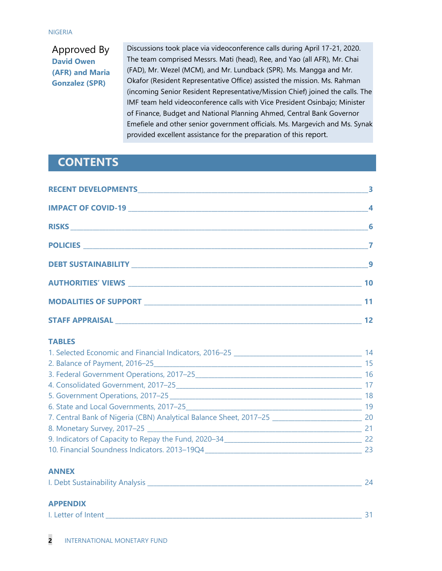#### NIGERIA

### Approved By **David Owen (AFR) and Maria Gonzalez (SPR)**

Discussions took place via videoconference calls during April 17-21, 2020. The team comprised Messrs. Mati (head), Ree, and Yao (all AFR), Mr. Chai (FAD), Mr. Wezel (MCM), and Mr. Lundback (SPR). Ms. Mangga and Mr. Okafor (Resident Representative Office) assisted the mission. Ms. Rahman (incoming Senior Resident Representative/Mission Chief) joined the calls. The IMF team held videoconference calls with Vice President Osinbajo; Minister of Finance, Budget and National Planning Ahmed, Central Bank Governor Emefiele and other senior government officials. Ms. Margevich and Ms. Synak provided excellent assistance for the preparation of this report.

### **CONTENTS**

| $\overline{\phantom{a}}$ |
|--------------------------|
| 10                       |
|                          |
| 12                       |

#### **TABLES**

| 1. Selected Economic and Financial Indicators, 2016-25             | 14 |
|--------------------------------------------------------------------|----|
| 2. Balance of Payment, 2016-25                                     | 15 |
| 3. Federal Government Operations, 2017-25                          | 16 |
| 4. Consolidated Government, 2017-25                                | 17 |
| 5. Government Operations, 2017-25                                  | 18 |
| 6. State and Local Governments, 2017-25                            | 19 |
| 7. Central Bank of Nigeria (CBN) Analytical Balance Sheet, 2017-25 | 20 |
| 8. Monetary Survey, 2017-25                                        | 21 |
| 9. Indicators of Capacity to Repay the Fund, 2020–34               | 22 |
| 10. Financial Soundness Indicators. 2013-19Q4                      | 23 |

#### **ANNEX**

| I. Debt Sustainability Analysis |  |  |  |
|---------------------------------|--|--|--|
|---------------------------------|--|--|--|

### **APPENDIX**

| . Letter of Intent |  |
|--------------------|--|
|                    |  |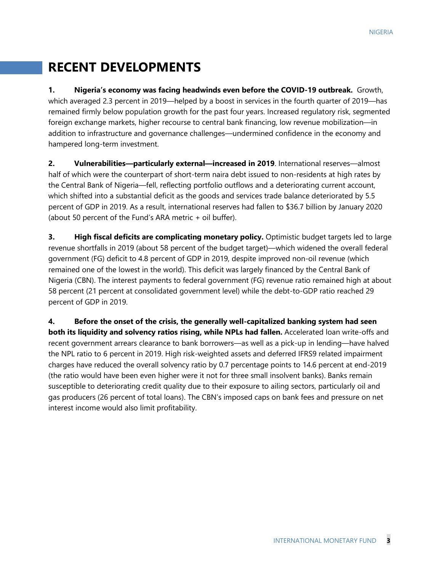# **RECENT DEVELOPMENTS**

**1. Nigeria's economy was facing headwinds even before the COVID-19 outbreak.** Growth, which averaged 2.3 percent in 2019—helped by a boost in services in the fourth quarter of 2019—has remained firmly below population growth for the past four years. Increased regulatory risk, segmented foreign exchange markets, higher recourse to central bank financing, low revenue mobilization—in addition to infrastructure and governance challenges—undermined confidence in the economy and hampered long-term investment.

**2. Vulnerabilities—particularly external—increased in 2019**. International reserves—almost half of which were the counterpart of short-term naira debt issued to non-residents at high rates by the Central Bank of Nigeria—fell, reflecting portfolio outflows and a deteriorating current account, which shifted into a substantial deficit as the goods and services trade balance deteriorated by 5.5 percent of GDP in 2019. As a result, international reserves had fallen to \$36.7 billion by January 2020 (about 50 percent of the Fund's ARA metric + oil buffer).

**3. High fiscal deficits are complicating monetary policy.** Optimistic budget targets led to large revenue shortfalls in 2019 (about 58 percent of the budget target)—which widened the overall federal government (FG) deficit to 4.8 percent of GDP in 2019, despite improved non-oil revenue (which remained one of the lowest in the world). This deficit was largely financed by the Central Bank of Nigeria (CBN). The interest payments to federal government (FG) revenue ratio remained high at about 58 percent (21 percent at consolidated government level) while the debt-to-GDP ratio reached 29 percent of GDP in 2019.

**4. Before the onset of the crisis, the generally well-capitalized banking system had seen both its liquidity and solvency ratios rising, while NPLs had fallen.** Accelerated loan write-offs and recent government arrears clearance to bank borrowers—as well as a pick-up in lending—have halved the NPL ratio to 6 percent in 2019. High risk-weighted assets and deferred IFRS9 related impairment charges have reduced the overall solvency ratio by 0.7 percentage points to 14.6 percent at end-2019 (the ratio would have been even higher were it not for three small insolvent banks). Banks remain susceptible to deteriorating credit quality due to their exposure to ailing sectors, particularly oil and gas producers (26 percent of total loans). The CBN's imposed caps on bank fees and pressure on net interest income would also limit profitability.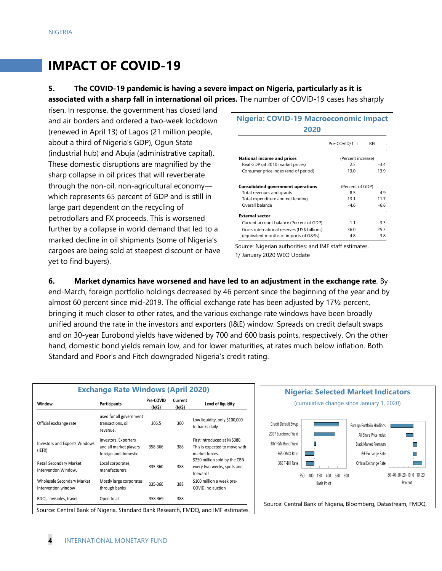# **IMPACT OF COVID-19**

### **5. The COVID-19 pandemic is having a severe impact on Nigeria, particularly as it is associated with a sharp fall in international oil prices.** The number of COVID-19 cases has sharply

risen. In response, the government has closed land and air borders and ordered a two-week lockdown (renewed in April 13) of Lagos (21 million people, about a third of Nigeria's GDP), Ogun State (industrial hub) and Abuja (administrative capital). These domestic disruptions are magnified by the sharp collapse in oil prices that will reverberate through the non-oil, non-agricultural economy which represents 65 percent of GDP and is still in large part dependent on the recycling of petrodollars and FX proceeds. This is worsened further by a collapse in world demand that led to a marked decline in oil shipments (some of Nigeria's cargoes are being sold at steepest discount or have yet to find buyers).

| Nigeria: COVID-19 Macroeconomic Impact<br>2020         |                                         |            |  |  |  |  |  |
|--------------------------------------------------------|-----------------------------------------|------------|--|--|--|--|--|
|                                                        | Pre-COVID/1<br>$\overline{\phantom{a}}$ | <b>RFI</b> |  |  |  |  |  |
| National income and prices                             | (Percent increase)                      |            |  |  |  |  |  |
| Real GDP (at 2010 market prices)                       | 2.5                                     | $-3.4$     |  |  |  |  |  |
| Consumer price index (end of period)                   | 13.0                                    | 13.9       |  |  |  |  |  |
| <b>Consolidated government operations</b>              | (Percent of GDP)                        |            |  |  |  |  |  |
| Total revenues and grants                              | 8.5                                     | 49         |  |  |  |  |  |
| Total expenditure and net lending                      | 13.1                                    | 117        |  |  |  |  |  |
| Overall balance                                        | $-46$                                   | $-6.8$     |  |  |  |  |  |
| <b>External sector</b>                                 |                                         |            |  |  |  |  |  |
| Current account balance (Percent of GDP)               | $-1.1$                                  | $-3.3$     |  |  |  |  |  |
| Gross international reserves (US\$ billions)           | 36.0                                    | 25.3       |  |  |  |  |  |
| (equivalent months of imports of G&Ss)                 | 4.8                                     | 3.8        |  |  |  |  |  |
| Source: Nigerian authorities; and IMF staff estimates. |                                         |            |  |  |  |  |  |
| 1/ January 2020 WEO Update                             |                                         |            |  |  |  |  |  |

**6. Market dynamics have worsened and have led to an adjustment in the exchange rate**. By end-March, foreign portfolio holdings decreased by 46 percent since the beginning of the year and by almost 60 percent since mid-2019. The official exchange rate has been adjusted by 17½ percent, bringing it much closer to other rates, and the various exchange rate windows have been broadly unified around the rate in the investors and exporters (I&E) window. Spreads on credit default swaps

and on 30-year Eurobond yields have widened by 700 and 600 basis points, respectively. On the other hand, domestic bond yields remain low, and for lower maturities, at rates much below inflation. Both Standard and Poor's and Fitch downgraded Nigeria's credit rating.

| Window                                            | <b>Participants</b>                                                    | Pre-COVID<br>(N/\$) | Current<br>(N/\$) | Level of liquidity                                                              |
|---------------------------------------------------|------------------------------------------------------------------------|---------------------|-------------------|---------------------------------------------------------------------------------|
| Official exchange rate                            | used for all government<br>transactions, oil<br>revenue.               | 306.5               | 360               | Low liquidity, only \$100,000<br>to banks daily                                 |
| <b>Investors and Exports Windows</b><br>(IEFX)    | Investors, Exporters<br>and all market players<br>foreign and domestic | 358-366             | 388               | First introduced at N/\$380.<br>This is expected to move with<br>market forces. |
| Retail Secondary Market<br>Intervention Window,   | Local corporates,<br>manufacturers                                     | 335-360             | 388               | \$250 million sold by the CBN<br>every two weeks, spots and<br>forwards         |
| Wholesale Secondary Market<br>Intervention window | Mostly large corporates<br>through banks                               | 335-360             | 388               | \$100 million a week pre-<br>COVID, no auction                                  |
| BDCs, invisibles, travel                          | Open to all                                                            | 358-369             | 388               |                                                                                 |

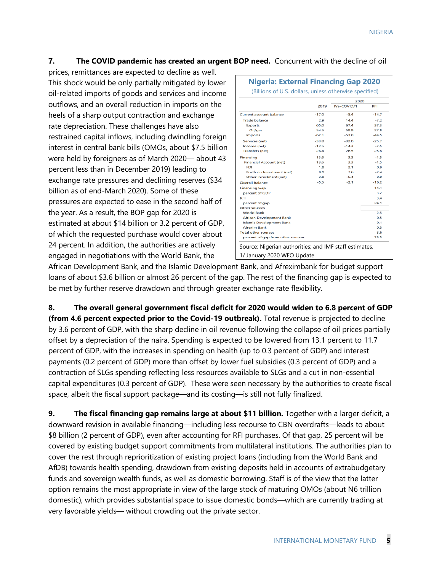### **7. The COVID pandemic has created an urgent BOP need.** Concurrent with the decline of oil

prices, remittances are expected to decline as well. This shock would be only partially mitigated by lower oil-related imports of goods and services and income outflows, and an overall reduction in imports on the heels of a sharp output contraction and exchange rate depreciation. These challenges have also restrained capital inflows, including dwindling foreign interest in central bank bills (OMOs, about \$7.5 billion were held by foreigners as of March 2020— about 43 percent less than in December 2019) leading to exchange rate pressures and declining reserves (\$34 billion as of end-March 2020). Some of these pressures are expected to ease in the second half of the year. As a result, the BOP gap for 2020 is estimated at about \$14 billion or 3.2 percent of GDP, of which the requested purchase would cover about 24 percent. In addition, the authorities are actively engaged in negotiations with the World Bank, the

|                                   |         | 2020        |            |
|-----------------------------------|---------|-------------|------------|
|                                   | 2019    | Pre-COVID/1 | <b>RFI</b> |
| Current account balance           | $-17.0$ | $-5.4$      | $-14.7$    |
| <b>Trade balance</b>              | 2.9     | 14.4        | $-7.2$     |
| <b>Exports</b>                    | 65.0    | 67.4        | 37.3       |
| Oil/gas                           | 54.5    | 59.9        | 27.8       |
| <b>Imports</b>                    | $-62.1$ | $-53.0$     | $-44.5$    |
| Services (net)                    | $-33.8$ | $-32.0$     | $-25.7$    |
| Income (net)                      | $-12.5$ | $-14.3$     | $-7.5$     |
| <b>Transfers (net)</b>            | 264     | 26.5        | 25.8       |
| Financing                         | 13.6    | 3.3         | $-1.5$     |
| <b>Financial Account (net)</b>    | 13.6    | 3.3         | $-1.5$     |
| <b>FDI</b>                        | 1.8     | 2.1         | 0.9        |
| Portfolio Investment (net)        | 9.0     | 7.6         | $-2.4$     |
| Other Investment (net)            | 2.8     | $-6.4$      | 0.0        |
| <b>Overall balance</b>            | $-5.5$  | $-2.1$      | $-16.2$    |
| <b>Financing Gap</b>              |         |             | 14.1       |
| percent of GDP                    |         |             | 3.2        |
| <b>RFI</b>                        |         |             | 3.4        |
| percent of gap                    |         |             | 24.1       |
| Other sources                     |         |             |            |
| <b>World Bank</b>                 |         |             | 2.5        |
| <b>African Development Bank</b>   |         |             | 0.5        |
| <b>Islamic Development Bank</b>   |         |             | 0.1        |
| <b>Afrexim Bank</b>               |         |             | 0.5        |
| <b>Total other sources</b>        |         |             | 3.6        |
| percent of gap from other sources |         |             | 25.5       |

African Development Bank, and the Islamic Development Bank, and Afreximbank for budget support loans of about \$3.6 billion or almost 26 percent of the gap. The rest of the financing gap is expected to be met by further reserve drawdown and through greater exchange rate flexibility.

**8. The overall general government fiscal deficit for 2020 would widen to 6.8 percent of GDP (from 4.6 percent expected prior to the Covid-19 outbreak).** Total revenue is projected to decline by 3.6 percent of GDP, with the sharp decline in oil revenue following the collapse of oil prices partially offset by a depreciation of the naira. Spending is expected to be lowered from 13.1 percent to 11.7 percent of GDP, with the increases in spending on health (up to 0.3 percent of GDP) and interest payments (0.2 percent of GDP) more than offset by lower fuel subsidies (0.3 percent of GDP) and a contraction of SLGs spending reflecting less resources available to SLGs and a cut in non-essential capital expenditures (0.3 percent of GDP). These were seen necessary by the authorities to create fiscal space, albeit the fiscal support package—and its costing—is still not fully finalized.

**9. The fiscal financing gap remains large at about \$11 billion.** Together with a larger deficit, a downward revision in available financing—including less recourse to CBN overdrafts—leads to about \$8 billion (2 percent of GDP), even after accounting for RFI purchases. Of that gap, 25 percent will be covered by existing budget support commitments from multilateral institutions. The authorities plan to cover the rest through reprioritization of existing project loans (including from the World Bank and AfDB) towards health spending, drawdown from existing deposits held in accounts of extrabudgetary funds and sovereign wealth funds, as well as domestic borrowing. Staff is of the view that the latter option remains the most appropriate in view of the large stock of maturing OMOs (about N6 trillion domestic), which provides substantial space to issue domestic bonds—which are currently trading at very favorable yields— without crowding out the private sector.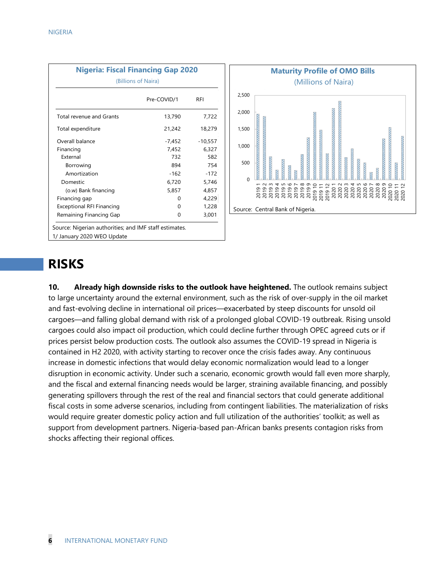|                                                                                      | <b>Nigeria: Fiscal Financing Gap 2020</b> |           |  |  |  |  |  |  |
|--------------------------------------------------------------------------------------|-------------------------------------------|-----------|--|--|--|--|--|--|
|                                                                                      | (Billions of Naira)                       |           |  |  |  |  |  |  |
|                                                                                      | Pre-COVID/1                               | RFI       |  |  |  |  |  |  |
| Total revenue and Grants                                                             | 13,790                                    | 7,722     |  |  |  |  |  |  |
| Total expenditure                                                                    | 21,242                                    | 18,279    |  |  |  |  |  |  |
| Overall balance                                                                      | -7,452                                    | $-10,557$ |  |  |  |  |  |  |
| Financing                                                                            | 7,452                                     | 6,327     |  |  |  |  |  |  |
| External                                                                             | 732                                       | 582       |  |  |  |  |  |  |
| Borrowing                                                                            | 894                                       | 754       |  |  |  |  |  |  |
| Amortization                                                                         | $-162$                                    | $-172$    |  |  |  |  |  |  |
| Domestic                                                                             | 6,720                                     | 5,746     |  |  |  |  |  |  |
| (o.w) Bank financing                                                                 | 5,857                                     | 4,857     |  |  |  |  |  |  |
| Financing gap                                                                        | 0                                         | 4,229     |  |  |  |  |  |  |
| <b>Exceptional RFI Financing</b>                                                     | 0                                         | 1,228     |  |  |  |  |  |  |
| Remaining Financing Gap                                                              | 0                                         | 3,001     |  |  |  |  |  |  |
| Source: Nigerian authorities; and IMF staff estimates.<br>1/ January 2020 WEO Update |                                           |           |  |  |  |  |  |  |



## **RISKS**

**10. Already high downside risks to the outlook have heightened.** The outlook remains subject to large uncertainty around the external environment, such as the risk of over-supply in the oil market and fast-evolving decline in international oil prices—exacerbated by steep discounts for unsold oil cargoes—and falling global demand with risk of a prolonged global COVID-19 outbreak. Rising unsold cargoes could also impact oil production, which could decline further through OPEC agreed cuts or if prices persist below production costs. The outlook also assumes the COVID-19 spread in Nigeria is contained in H2 2020, with activity starting to recover once the crisis fades away. Any continuous increase in domestic infections that would delay economic normalization would lead to a longer disruption in economic activity. Under such a scenario, economic growth would fall even more sharply, and the fiscal and external financing needs would be larger, straining available financing, and possibly generating spillovers through the rest of the real and financial sectors that could generate additional fiscal costs in some adverse scenarios, including from contingent liabilities. The materialization of risks would require greater domestic policy action and full utilization of the authorities' toolkit; as well as support from development partners. Nigeria-based pan-African banks presents contagion risks from shocks affecting their regional offices.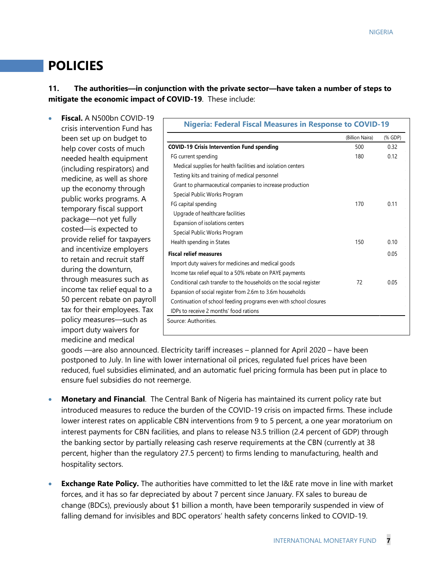# **POLICIES**

**11. The authorities—in conjunction with the private sector—have taken a number of steps to mitigate the economic impact of COVID-19**. These include:

• **Fiscal.** A N500bn COVID-19 crisis intervention Fund has been set up on budget to help cover costs of much needed health equipment (including respirators) and medicine, as well as shore up the economy through public works programs. A temporary fiscal support package—not yet fully costed—is expected to provide relief for taxpayers and incentivize employers to retain and recruit staff during the downturn, through measures such as income tax relief equal to a 50 percent rebate on payroll tax for their employees. Tax policy measures—such as import duty waivers for medicine and medical

| <b>Nigeria: Federal Fiscal Measures in Response to COVID-19</b>    |                 |         |
|--------------------------------------------------------------------|-----------------|---------|
|                                                                    | (Billion Naira) | (% GDP) |
| <b>COVID-19 Crisis Intervention Fund spending</b>                  | 500             | 0.32    |
| FG current spending                                                | 180             | 0.12    |
| Medical supplies for health facilities and isolation centers       |                 |         |
| Testing kits and training of medical personnel                     |                 |         |
| Grant to pharmaceutical companies to increase production           |                 |         |
| Special Public Works Program                                       |                 |         |
| FG capital spending                                                | 170             | 0.11    |
| Upgrade of healthcare facilities                                   |                 |         |
| Expansion of isolations centers                                    |                 |         |
| Special Public Works Program                                       |                 |         |
| Health spending in States                                          | 150             | 010     |
| <b>Fiscal relief measures</b>                                      |                 | 0.05    |
| Import duty waivers for medicines and medical goods                |                 |         |
| Income tax relief equal to a 50% rebate on PAYE payments           |                 |         |
| Conditional cash transfer to the households on the social register | 72              | 0.05    |
| Expansion of social register from 2.6m to 3.6m households          |                 |         |
| Continuation of school feeding programs even with school closures  |                 |         |
| IDPs to receive 2 months' food rations                             |                 |         |

goods —are also announced. Electricity tariff increases – planned for April 2020 – have been postponed to July. In line with lower international oil prices, regulated fuel prices have been reduced, fuel subsidies eliminated, and an automatic fuel pricing formula has been put in place to ensure fuel subsidies do not reemerge.

- **Monetary and Financial**. The Central Bank of Nigeria has maintained its current policy rate but introduced measures to reduce the burden of the COVID-19 crisis on impacted firms. These include lower interest rates on applicable CBN interventions from 9 to 5 percent, a one year moratorium on interest payments for CBN facilities, and plans to release N3.5 trillion (2.4 percent of GDP) through the banking sector by partially releasing cash reserve requirements at the CBN (currently at 38 percent, higher than the regulatory 27.5 percent) to firms lending to manufacturing, health and hospitality sectors.
- **Exchange Rate Policy.** The authorities have committed to let the I&E rate move in line with market forces, and it has so far depreciated by about 7 percent since January. FX sales to bureau de change (BDCs), previously about \$1 billion a month, have been temporarily suspended in view of falling demand for invisibles and BDC operators' health safety concerns linked to COVID-19.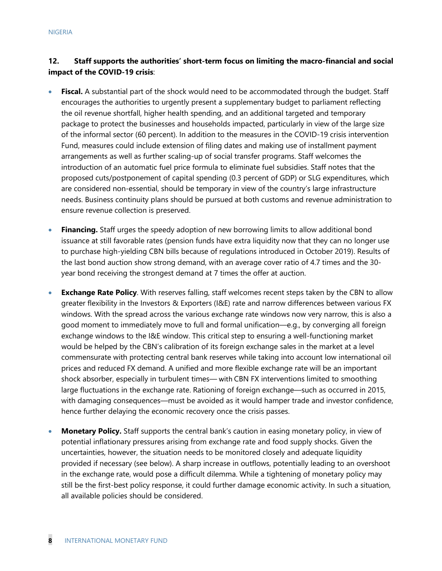### **12. Staff supports the authorities' short-term focus on limiting the macro-financial and social impact of the COVID-19 crisis**:

- **Fiscal.** A substantial part of the shock would need to be accommodated through the budget. Staff encourages the authorities to urgently present a supplementary budget to parliament reflecting the oil revenue shortfall, higher health spending, and an additional targeted and temporary package to protect the businesses and households impacted, particularly in view of the large size of the informal sector (60 percent). In addition to the measures in the COVID-19 crisis intervention Fund, measures could include extension of filing dates and making use of installment payment arrangements as well as further scaling-up of social transfer programs. Staff welcomes the introduction of an automatic fuel price formula to eliminate fuel subsidies. Staff notes that the proposed cuts/postponement of capital spending (0.3 percent of GDP) or SLG expenditures, which are considered non-essential, should be temporary in view of the country's large infrastructure needs. Business continuity plans should be pursued at both customs and revenue administration to ensure revenue collection is preserved.
- **Financing.** Staff urges the speedy adoption of new borrowing limits to allow additional bond issuance at still favorable rates (pension funds have extra liquidity now that they can no longer use to purchase high-yielding CBN bills because of regulations introduced in October 2019). Results of the last bond auction show strong demand, with an average cover ratio of 4.7 times and the 30 year bond receiving the strongest demand at 7 times the offer at auction.
- **Exchange Rate Policy**. With reserves falling, staff welcomes recent steps taken by the CBN to allow greater flexibility in the Investors & Exporters (I&E) rate and narrow differences between various FX windows. With the spread across the various exchange rate windows now very narrow, this is also a good moment to immediately move to full and formal unification—e.g., by converging all foreign exchange windows to the I&E window. This critical step to ensuring a well-functioning market would be helped by the CBN's calibration of its foreign exchange sales in the market at a level commensurate with protecting central bank reserves while taking into account low international oil prices and reduced FX demand. A unified and more flexible exchange rate will be an important shock absorber, especially in turbulent times— with CBN FX interventions limited to smoothing large fluctuations in the exchange rate. Rationing of foreign exchange—such as occurred in 2015, with damaging consequences—must be avoided as it would hamper trade and investor confidence, hence further delaying the economic recovery once the crisis passes.
- **Monetary Policy.** Staff supports the central bank's caution in easing monetary policy, in view of potential inflationary pressures arising from exchange rate and food supply shocks. Given the uncertainties, however, the situation needs to be monitored closely and adequate liquidity provided if necessary (see below). A sharp increase in outflows, potentially leading to an overshoot in the exchange rate, would pose a difficult dilemma. While a tightening of monetary policy may still be the first-best policy response, it could further damage economic activity. In such a situation, all available policies should be considered.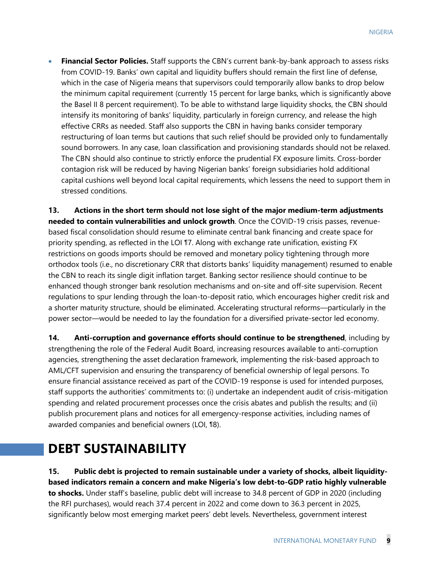• **Financial Sector Policies.** Staff supports the CBN's current bank-by-bank approach to assess risks from COVID-19. Banks' own capital and liquidity buffers should remain the first line of defense, which in the case of Nigeria means that supervisors could temporarily allow banks to drop below the minimum capital requirement (currently 15 percent for large banks, which is significantly above the Basel II 8 percent requirement). To be able to withstand large liquidity shocks, the CBN should intensify its monitoring of banks' liquidity, particularly in foreign currency, and release the high effective CRRs as needed. Staff also supports the CBN in having banks consider temporary restructuring of loan terms but cautions that such relief should be provided only to fundamentally sound borrowers. In any case, loan classification and provisioning standards should not be relaxed. The CBN should also continue to strictly enforce the prudential FX exposure limits. Cross-border contagion risk will be reduced by having Nigerian banks' foreign subsidiaries hold additional capital cushions well beyond local capital requirements, which lessens the need to support them in stressed conditions.

**13. Actions in the short term should not lose sight of the major medium-term adjustments needed to contain vulnerabilities and unlock growth**. Once the COVID-19 crisis passes, revenuebased fiscal consolidation should resume to eliminate central bank financing and create space for priority spending, as reflected in the LOI ¶7. Along with exchange rate unification, existing FX restrictions on goods imports should be removed and monetary policy tightening through more orthodox tools (i.e., no discretionary CRR that distorts banks' liquidity management) resumed to enable the CBN to reach its single digit inflation target. Banking sector resilience should continue to be enhanced though stronger bank resolution mechanisms and on-site and off-site supervision. Recent regulations to spur lending through the loan-to-deposit ratio, which encourages higher credit risk and a shorter maturity structure, should be eliminated. Accelerating structural reforms—particularly in the power sector—would be needed to lay the foundation for a diversified private-sector led economy.

**14. Anti-corruption and governance efforts should continue to be strengthened**, including by strengthening the role of the Federal Audit Board, increasing resources available to anti-corruption agencies, strengthening the asset declaration framework, implementing the risk-based approach to AML/CFT supervision and ensuring the transparency of beneficial ownership of legal persons. To ensure financial assistance received as part of the COVID-19 response is used for intended purposes, staff supports the authorities' commitments to: (i) undertake an independent audit of crisis-mitigation spending and related procurement processes once the crisis abates and publish the results; and (ii) publish procurement plans and notices for all emergency-response activities, including names of awarded companies and beneficial owners (LOI, ¶8).

# **DEBT SUSTAINABILITY**

**15. Public debt is projected to remain sustainable under a variety of shocks, albeit liquiditybased indicators remain a concern and make Nigeria's low debt-to-GDP ratio highly vulnerable to shocks.** Under staff's baseline, public debt will increase to 34.8 percent of GDP in 2020 (including the RFI purchases), would reach 37.4 percent in 2022 and come down to 36.3 percent in 2025, significantly below most emerging market peers' debt levels. Nevertheless, government interest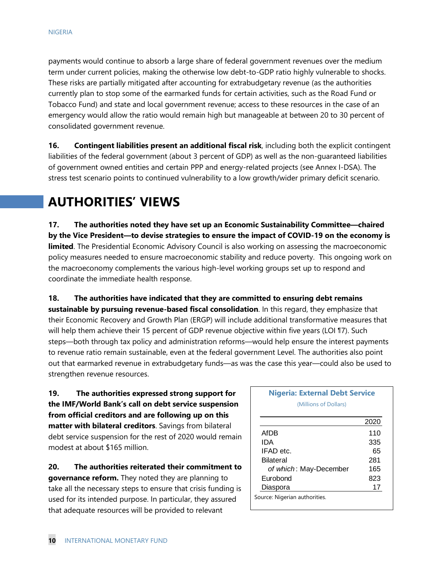payments would continue to absorb a large share of federal government revenues over the medium term under current policies, making the otherwise low debt-to-GDP ratio highly vulnerable to shocks. These risks are partially mitigated after accounting for extrabudgetary revenue (as the authorities currently plan to stop some of the earmarked funds for certain activities, such as the Road Fund or Tobacco Fund) and state and local government revenue; access to these resources in the case of an emergency would allow the ratio would remain high but manageable at between 20 to 30 percent of consolidated government revenue.

**16.** Contingent liabilities present an additional fiscal risk, including both the explicit contingent liabilities of the federal government (about 3 percent of GDP) as well as the non-guaranteed liabilities of government owned entities and certain PPP and energy-related projects (see Annex I-DSA). The stress test scenario points to continued vulnerability to a low growth/wider primary deficit scenario.

# **AUTHORITIES' VIEWS**

**17. The authorities noted they have set up an Economic Sustainability Committee—chaired by the Vice President—to devise strategies to ensure the impact of COVID-19 on the economy is limited**. The Presidential Economic Advisory Council is also working on assessing the macroeconomic policy measures needed to ensure macroeconomic stability and reduce poverty. This ongoing work on the macroeconomy complements the various high-level working groups set up to respond and coordinate the immediate health response.

**18. The authorities have indicated that they are committed to ensuring debt remains sustainable by pursuing revenue-based fiscal consolidation**. In this regard, they emphasize that their Economic Recovery and Growth Plan (ERGP) will include additional transformative measures that will help them achieve their 15 percent of GDP revenue objective within five years (LOI 17). Such steps—both through tax policy and administration reforms—would help ensure the interest payments to revenue ratio remain sustainable, even at the federal government Level. The authorities also point out that earmarked revenue in extrabudgetary funds—as was the case this year—could also be used to strengthen revenue resources.

**19. The authorities expressed strong support for the IMF/World Bank's call on debt service suspension from official creditors and are following up on this matter with bilateral creditors**. Savings from bilateral debt service suspension for the rest of 2020 would remain modest at about \$165 million.

**20. The authorities reiterated their commitment to governance reform.** They noted they are planning to take all the necessary steps to ensure that crisis funding is used for its intended purpose. In particular, they assured that adequate resources will be provided to relevant

### **Nigeria: External Debt Service** (Millions of Dollars)

|                               | 2020 |
|-------------------------------|------|
| AfDB                          | 110  |
| IDA                           | 335  |
| IFAD etc.                     | 65   |
| Bilateral                     | 281  |
| of which: May-December        | 165  |
| Eurobond                      | 823  |
| Diaspora                      | 17   |
| Source: Nigerian authorities. |      |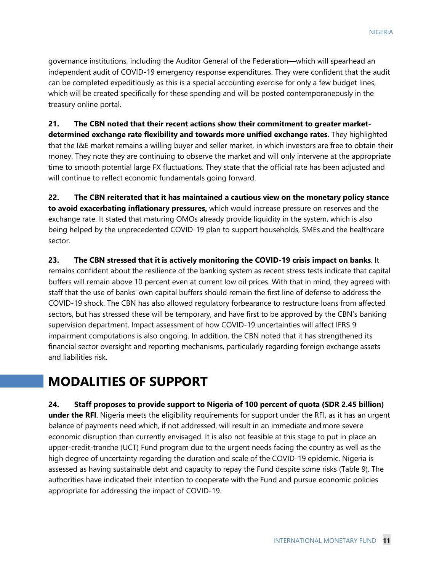governance institutions, including the Auditor General of the Federation—which will spearhead an independent audit of COVID-19 emergency response expenditures. They were confident that the audit can be completed expeditiously as this is a special accounting exercise for only a few budget lines, which will be created specifically for these spending and will be posted contemporaneously in the treasury online portal.

**21. The CBN noted that their recent actions show their commitment to greater marketdetermined exchange rate flexibility and towards more unified exchange rates**. They highlighted that the I&E market remains a willing buyer and seller market, in which investors are free to obtain their money. They note they are continuing to observe the market and will only intervene at the appropriate time to smooth potential large FX fluctuations. They state that the official rate has been adjusted and will continue to reflect economic fundamentals going forward.

**22. The CBN reiterated that it has maintained a cautious view on the monetary policy stance to avoid exacerbating inflationary pressures,** which would increase pressure on reserves and the exchange rate. It stated that maturing OMOs already provide liquidity in the system, which is also being helped by the unprecedented COVID-19 plan to support households, SMEs and the healthcare sector.

**23. The CBN stressed that it is actively monitoring the COVID-19 crisis impact on banks**. It remains confident about the resilience of the banking system as recent stress tests indicate that capital buffers will remain above 10 percent even at current low oil prices. With that in mind, they agreed with staff that the use of banks' own capital buffers should remain the first line of defense to address the COVID-19 shock. The CBN has also allowed regulatory forbearance to restructure loans from affected sectors, but has stressed these will be temporary, and have first to be approved by the CBN's banking supervision department. Impact assessment of how COVID-19 uncertainties will affect IFRS 9 impairment computations is also ongoing. In addition, the CBN noted that it has strengthened its financial sector oversight and reporting mechanisms, particularly regarding foreign exchange assets and liabilities risk.

### **MODALITIES OF SUPPORT**

**24. Staff proposes to provide support to Nigeria of 100 percent of quota (SDR 2.45 billion) under the RFI**. Nigeria meets the eligibility requirements for support under the RFI, as it has an urgent balance of payments need which, if not addressed, will result in an immediate andmore severe economic disruption than currently envisaged. It is also not feasible at this stage to put in place an upper-credit-tranche (UCT) Fund program due to the urgent needs facing the country as well as the high degree of uncertainty regarding the duration and scale of the COVID-19 epidemic. Nigeria is assessed as having sustainable debt and capacity to repay the Fund despite some risks (Table 9). The authorities have indicated their intention to cooperate with the Fund and pursue economic policies appropriate for addressing the impact of COVID-19.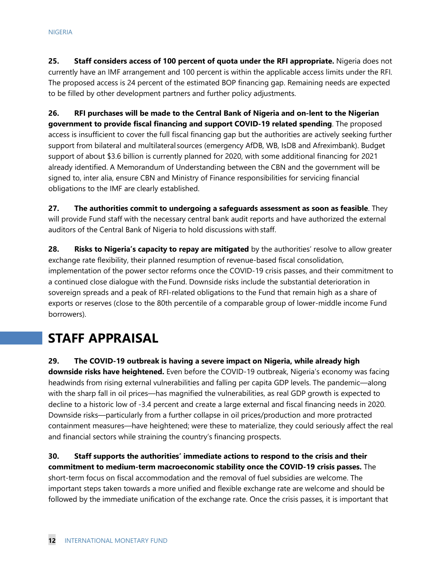**25. Staff considers access of 100 percent of quota under the RFI appropriate.** Nigeria does not currently have an IMF arrangement and 100 percent is within the applicable access limits under the RFI. The proposed access is 24 percent of the estimated BOP financing gap. Remaining needs are expected to be filled by other development partners and further policy adjustments.

**26. RFI purchases will be made to the Central Bank of Nigeria and on-lent to the Nigerian government to provide fiscal financing and support COVID-19 related spending**. The proposed access is insufficient to cover the full fiscal financing gap but the authorities are actively seeking further support from bilateral and multilateral sources (emergency AfDB, WB, IsDB and Afreximbank). Budget support of about \$3.6 billion is currently planned for 2020, with some additional financing for 2021 already identified. A Memorandum of Understanding between the CBN and the government will be signed to, inter alia, ensure CBN and Ministry of Finance responsibilities for servicing financial obligations to the IMF are clearly established.

**27. The authorities commit to undergoing a safeguards assessment as soon as feasible**. They will provide Fund staff with the necessary central bank audit reports and have authorized the external auditors of the Central Bank of Nigeria to hold discussions with staff.

**28. Risks to Nigeria's capacity to repay are mitigated** by the authorities' resolve to allow greater exchange rate flexibility, their planned resumption of revenue-based fiscal consolidation, implementation of the power sector reforms once the COVID-19 crisis passes, and their commitment to a continued close dialogue with the Fund. Downside risks include the substantial deterioration in sovereign spreads and a peak of RFI-related obligations to the Fund that remain high as a share of exports or reserves (close to the 80th percentile of a comparable group of lower-middle income Fund borrowers).

# **STAFF APPRAISAL**

**29. The COVID-19 outbreak is having a severe impact on Nigeria, while already high downside risks have heightened.** Even before the COVID-19 outbreak, Nigeria's economy was facing headwinds from rising external vulnerabilities and falling per capita GDP levels. The pandemic—along with the sharp fall in oil prices—has magnified the vulnerabilities, as real GDP growth is expected to decline to a historic low of -3.4 percent and create a large external and fiscal financing needs in 2020. Downside risks—particularly from a further collapse in oil prices/production and more protracted containment measures—have heightened; were these to materialize, they could seriously affect the real and financial sectors while straining the country's financing prospects.

**30. Staff supports the authorities' immediate actions to respond to the crisis and their commitment to medium-term macroeconomic stability once the COVID-19 crisis passes.** The short-term focus on fiscal accommodation and the removal of fuel subsidies are welcome. The important steps taken towards a more unified and flexible exchange rate are welcome and should be followed by the immediate unification of the exchange rate. Once the crisis passes, it is important that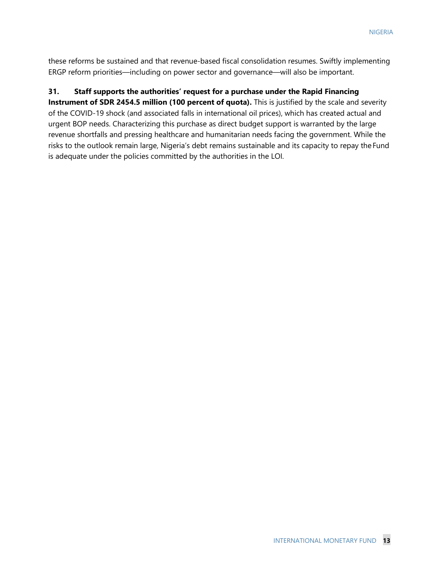these reforms be sustained and that revenue-based fiscal consolidation resumes. Swiftly implementing ERGP reform priorities—including on power sector and governance—will also be important.

### **31. Staff supports the authorities' request for a purchase under the Rapid Financing**

**Instrument of SDR 2454.5 million (100 percent of quota).** This is justified by the scale and severity of the COVID-19 shock (and associated falls in international oil prices), which has created actual and urgent BOP needs. Characterizing this purchase as direct budget support is warranted by the large revenue shortfalls and pressing healthcare and humanitarian needs facing the government. While the risks to the outlook remain large, Nigeria's debt remains sustainable and its capacity to repay theFund is adequate under the policies committed by the authorities in the LOI.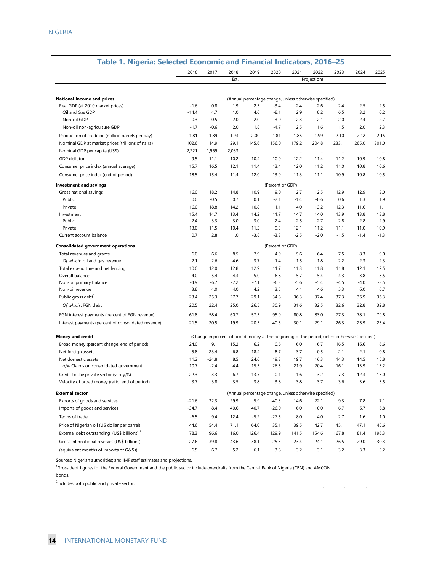| Table 1. Nigeria: Selected Economic and Financial Indicators, 2016-25 |                |                |                                                                                               |                                                        |                  |                |                |                |                |                |
|-----------------------------------------------------------------------|----------------|----------------|-----------------------------------------------------------------------------------------------|--------------------------------------------------------|------------------|----------------|----------------|----------------|----------------|----------------|
|                                                                       | 2016           | 2017           | 2018                                                                                          | 2019                                                   | 2020             | 2021           | 2022           | 2023           | 2024           | 2025           |
|                                                                       |                |                | Est.                                                                                          |                                                        |                  |                | Projections    |                |                |                |
|                                                                       |                |                |                                                                                               |                                                        |                  |                |                |                |                |                |
| <b>National income and prices</b>                                     |                |                |                                                                                               | (Annual percentage change, unless otherwise specified) |                  |                |                |                |                |                |
| Real GDP (at 2010 market prices)                                      | $-1.6$         | 0.8            | 1.9                                                                                           | 2.3                                                    | $-3.4$           | 2.4            | 2.6            | 2.4            | 2.5            | 2.5            |
| Oil and Gas GDP                                                       | $-14.4$        | 4.7            | 1.0                                                                                           | 4.6                                                    | $-8.1$           | 2.9            | 8.2            | 6.5            | 3.2            | 0.2            |
| Non-oil GDP                                                           | $-0.3$         | 0.5            | 2.0                                                                                           | 2.0                                                    | $-3.0$           | 2.3            | 2.1            | 2.0            | 2.4            | 2.7            |
| Non-oil non-agriculture GDP                                           | $-1.7$         | $-0.6$         | 2.0                                                                                           | 1.8                                                    | $-4.7$           | 2.5            | 1.6            | 1.5            | 2.0            | 2.3            |
| Production of crude oil (million barrels per day)                     | 1.81           | 1.89           | 1.93                                                                                          | 2.00                                                   | 1.81             | 1.85           | 1.99           | 2.10           | 2.12           | 2.15           |
| Nominal GDP at market prices (trillions of naira)                     | 102.6          | 114.9          | 129.1                                                                                         | 145.6                                                  | 156.0            | 179.2          | 204.8          | 233.1          | 265.0          | 301.0          |
| Nominal GDP per capita (US\$)                                         | 2,221          | 1,969          | 2,033                                                                                         | $\ldots$                                               | $\cdots$         | $\cdots$       | $\ldots$       | $\cdots$       | $\cdots$       |                |
| GDP deflator                                                          | 9.5            | 11.1           | 10.2                                                                                          | 10.4                                                   | 10.9             | 12.2           | 11.4           | 11.2           | 10.9           | 10.8           |
| Consumer price index (annual average)                                 | 15.7           | 16.5           | 12.1                                                                                          | 11.4                                                   | 13.4             | 12.0           | 11.2           | 11.0           | 10.8           | 10.6           |
| Consumer price index (end of period)                                  | 18.5           | 15.4           | 11.4                                                                                          | 12.0                                                   | 13.9             | 11.3           | 11.1           | 10.9           | 10.8           | 10.5           |
| <b>Investment and savings</b>                                         |                |                |                                                                                               |                                                        | (Percent of GDP) |                |                |                |                |                |
| Gross national savings                                                | 16.0           | 18.2           | 14.8                                                                                          | 10.9                                                   | 9.0              | 12.7           | 12.5           | 12.9           | 12.9           | 13.0           |
| Public                                                                | 0.0            | $-0.5$         | 0.7                                                                                           | 0.1                                                    | $-2.1$           | $-1.4$         | $-0.6$         | 0.6            | 1.3            | 1.9            |
| Private                                                               | 16.0           | 18.8           | 14.2                                                                                          | 10.8                                                   | 11.1             | 14.0           | 13.2           | 12.3           | 11.6           | 11.1           |
| Investment                                                            | 15.4           | 14.7           | 13.4                                                                                          | 14.2                                                   | 11.7             | 14.7           | 14.0           | 13.9           | 13.8           | 13.8           |
| Public<br>Private                                                     | 2.4<br>13.0    | 3.3<br>11.5    | 3.0<br>10.4                                                                                   | 3.0<br>11.2                                            | 2.4<br>9.3       | 2.5<br>12.1    | 2.7<br>11.2    | 2.8<br>11.1    | 2.8<br>11.0    | 2.9<br>10.9    |
| Current account balance                                               | 0.7            | 2.8            | 1.0                                                                                           | $-3.8$                                                 | $-3.3$           | $-2.5$         | $-2.0$         | $-1.5$         | $-1.4$         | $-1.3$         |
|                                                                       |                |                |                                                                                               |                                                        |                  |                |                |                |                |                |
| <b>Consolidated government operations</b>                             |                |                |                                                                                               |                                                        | (Percent of GDP) |                |                |                |                |                |
| Total revenues and grants                                             | 6.0            | 6.6            | 8.5                                                                                           | 7.9                                                    | 4.9              | 5.6            | 6.4            | 7.5            | 8.3            | 9.0            |
| Of which: oil and gas revenue                                         | 2.1            | 2.6            | 4.6                                                                                           | 3.7                                                    | 1.4              | 1.5            | 1.8            | 2.2            | 2.3            | 2.3            |
| Total expenditure and net lending<br>Overall balance                  | 10.0<br>$-4.0$ | 12.0<br>$-5.4$ | 12.8<br>$-4.3$                                                                                | 12.9<br>$-5.0$                                         | 11.7<br>$-6.8$   | 11.3<br>$-5.7$ | 11.8<br>$-5.4$ | 11.8<br>$-4.3$ | 12.1<br>$-3.8$ | 12.5<br>$-3.5$ |
| Non-oil primary balance                                               | $-4.9$         | $-6.7$         | $-7.2$                                                                                        | $-7.1$                                                 | $-6.3$           | $-5.6$         | $-5.4$         | $-4.5$         | $-4.0$         | $-3.5$         |
| Non-oil revenue                                                       | 3.8            | 4.0            | 4.0                                                                                           | 4.2                                                    | 3.5              | 4.1            | 4.6            | 5.3            | 6.0            | 6.7            |
| Public gross debt                                                     | 23.4           | 25.3           | 27.7                                                                                          | 29.1                                                   | 34.8             | 36.3           | 37.4           | 37.3           | 36.9           | 36.3           |
| Of which: FGN debt                                                    | 20.5           | 22.4           | 25.0                                                                                          | 26.5                                                   | 30.9             | 31.6           | 32.5           | 32.6           | 32.8           | 32.8           |
| FGN interest payments (percent of FGN revenue)                        | 61.8           | 58.4           | 60.7                                                                                          | 57.5                                                   | 95.9             | 80.8           | 83.0           | 77.3           | 78.1           | 79.8           |
| Interest payments (percent of consolidated revenue)                   | 21.5           | 20.5           | 19.9                                                                                          | 20.5                                                   | 40.5             | 30.1           | 29.1           | 26.3           | 25.9           | 25.4           |
|                                                                       |                |                |                                                                                               |                                                        |                  |                |                |                |                |                |
| <b>Money and credit</b>                                               |                |                | (Change in percent of broad money at the beginning of the period, unless otherwise specified) |                                                        |                  |                |                |                |                |                |
| Broad money (percent change; end of period)                           | 24.0           | 9.1            | 15.2                                                                                          | 6.2                                                    | 10.6             | 16.0           | 16.7           | 16.5           | 16.6           | 16.6           |
| Net foreign assets                                                    | 5.8            | 23.4           | 6.8                                                                                           | $-18.4$                                                | $-8.7$           | $-3.7$         | 0.5            | 2.1            | 2.1            | 0.8            |
| Net domestic assets                                                   | 11.2           | $-24.8$        | 8.5                                                                                           | 24.6                                                   | 19.3             | 19.7           | 16.3           | 14.3           | 14.5           | 15.8           |
| o/w Claims on consolidated government                                 | 10.7           | $-2.4$         | 4.4                                                                                           | 15.3                                                   | 26.5             | 21.9           | 20.4           | 16.1           | 13.9           | 13.2           |
| Credit to the private sector (y-o-y,%)                                | 22.3           | $-3.3$         | $-6.7$                                                                                        | 13.7                                                   | $-0.1$           | 1.6            | 3.2            | 7.3            | 12.3           | 15.0           |
| Velocity of broad money (ratio; end of period)                        | 3.7            | 3.8            | 3.5                                                                                           | 3.8                                                    | 3.8              | 3.8            | 3.7            | 3.6            | 3.6            | 3.5            |
| <b>External sector</b>                                                |                |                |                                                                                               | (Annual percentage change, unless otherwise specified) |                  |                |                |                |                |                |
| Exports of goods and services                                         | $-21.6$        | 32.3           | 29.9                                                                                          | 5.9                                                    | $-40.3$          | 14.6           | 22.1           | 9.3            | 7.8            | 7.1            |
| Imports of goods and services                                         | -34.7          | 8.4            | 40.6                                                                                          | 40.7                                                   | $-26.0$          | 6.0            | 10.0           | 6.7            | 6.7            | 6.8            |
| Terms of trade                                                        | $-6.5$         | 9.4            | 12.4                                                                                          | $-5.2$                                                 | $-27.5$          | 8.0            | 4.0            | 2.7            | 1.6            | 1.0            |
| Price of Nigerian oil (US dollar per barrel)                          | 44.6           | 54.4           | 71.1                                                                                          | 64.0                                                   | 35.1             | 39.5           | 42.7           | 45.1           | 47.1           | 48.6           |
| External debt outstanding (US\$ billions) <sup>2</sup>                | 78.3           | 96.6           | 116.0                                                                                         | 126.4                                                  | 129.9            | 141.5          | 154.6          | 167.8          | 181.4          | 196.3          |
| Gross international reserves (US\$ billions)                          | 27.6           | 39.8           | 43.6                                                                                          | 38.1                                                   | 25.3             | 23.4           | 24.1           | 26.5           | 29.0           | 30.3           |
| (equivalent months of imports of G&Ss)                                | 6.5            | 6.7            | 5.2                                                                                           | 6.1                                                    | 3.8              | 3.2            | 3.1            | 3.2            | 3.3            | 3.2            |
|                                                                       |                |                |                                                                                               |                                                        |                  |                |                |                |                |                |

Sources: Nigerian authorities; and IMF staff estimates and projections.

<sup>1</sup>Gross debt figures for the Federal Government and the public sector include overdrafts from the Central Bank of Nigeria (CBN) and AMCON

 $\mathcal{L}$ 

bonds.

<sup>2</sup>Includes both public and private sector.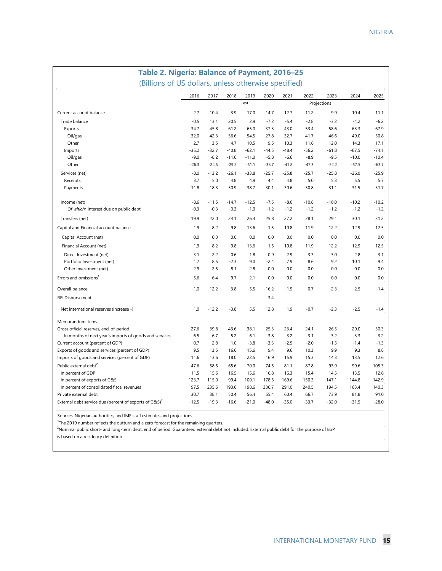| Table 2. Nigeria: Balance of Payment, 2016-25                      |         |         |         |         |         |         |         |             |         |         |
|--------------------------------------------------------------------|---------|---------|---------|---------|---------|---------|---------|-------------|---------|---------|
| (Billions of US dollars, unless otherwise specified)               |         |         |         |         |         |         |         |             |         |         |
|                                                                    | 2016    | 2017    | 2018    | 2019    | 2020    | 2021    | 2022    | 2023        | 2024    | 2025    |
|                                                                    |         |         |         | est.    |         |         |         | Projections |         |         |
| Current account balance                                            | 2.7     | 10.4    | 3.9     | $-17.0$ | $-14.7$ | $-12.7$ | $-11.2$ | $-9.9$      | $-10.4$ | $-11.1$ |
| Trade balance                                                      | $-0.5$  | 13.1    | 20.5    | 2.9     | $-7.2$  | $-5.4$  | $-2.8$  | $-3.2$      | $-4.2$  | $-6.2$  |
| Exports                                                            | 34.7    | 45.8    | 61.2    | 65.0    | 37.3    | 43.0    | 53.4    | 58.6        | 63.3    | 67.9    |
| Oil/gas                                                            | 32.0    | 42.3    | 56.6    | 54.5    | 27.8    | 32.7    | 41.7    | 46.6        | 49.0    | 50.8    |
| Other                                                              | 2.7     | 3.5     | 4.7     | 10.5    | 9.5     | 10.3    | 11.6    | 12.0        | 14.3    | 17.1    |
| Imports                                                            | $-35.2$ | $-32.7$ | $-40.8$ | $-62.1$ | $-44.5$ | $-48.4$ | $-56.2$ | $-61.8$     | $-67.5$ | $-74.1$ |
| Oil/gas                                                            | $-9.0$  | $-8.2$  | $-11.6$ | $-11.0$ | $-5.8$  | $-6.6$  | $-8.9$  | $-9.5$      | $-10.0$ | $-10.4$ |
| Other                                                              | $-26.3$ | $-24.5$ | $-29.2$ | $-51.1$ | $-38.7$ | $-41.8$ | $-47.3$ | $-52.2$     | $-57.5$ | $-63.7$ |
| Services (net)                                                     | $-8.0$  | $-13.2$ | $-26.1$ | $-33.8$ | $-25.7$ | $-25.8$ | $-25.7$ | $-25.8$     | $-26.0$ | $-25.9$ |
| Receipts                                                           | 3.7     | 5.0     | 4.8     | 4.9     | 4.4     | 4.8     | 5.0     | 5.3         | 5.5     | 5.7     |
| Payments                                                           | $-11.8$ | $-18.3$ | $-30.9$ | $-38.7$ | $-30.1$ | $-30.6$ | $-30.8$ | $-31.1$     | $-31.5$ | $-31.7$ |
| Income (net)                                                       | $-8.6$  | $-11.5$ | $-14.7$ | $-12.5$ | $-7.5$  | $-8.6$  | $-10.8$ | $-10.0$     | $-10.2$ | $-10.2$ |
| Of which: Interest due on public debt                              | $-0.3$  | $-0.3$  | $-0.3$  | $-1.0$  | $-1.2$  | $-1.2$  | $-1.2$  | $-1.2$      | $-1.2$  | $-1.2$  |
| Transfers (net)                                                    | 19.9    | 22.0    | 24.1    | 26.4    | 25.8    | 27.2    | 28.1    | 29.1        | 30.1    | 31.2    |
| Capital and Financial account balance                              | 1.9     | 8.2     | $-9.8$  | 13.6    | $-1.5$  | 10.8    | 11.9    | 12.2        | 12.9    | 12.5    |
| Capital Account (net)                                              | 0.0     | 0.0     | 0.0     | 0.0     | 0.0     | 0.0     | 0.0     | 0.0         | 0.0     | 0.0     |
| Financial Account (net)                                            | 1.9     | 8.2     | $-9.8$  | 13.6    | $-1.5$  | 10.8    | 11.9    | 12.2        | 12.9    | 12.5    |
| Direct Investment (net)                                            | 3.1     | 2.2     | 0.6     | 1.8     | 0.9     | 2.9     | 3.3     | 3.0         | 2.8     | 3.1     |
| Portfolio Investment (net)                                         | 1.7     | 8.5     | $-2.3$  | 9.0     | $-2.4$  | 7.9     | 8.6     | 9.2         | 10.1    | 9.4     |
| Other Investment (net)                                             | $-2.9$  | $-2.5$  | $-8.1$  | 2.8     | 0.0     | 0.0     | 0.0     | 0.0         | 0.0     | 0.0     |
| Errors and omissions <sup>1</sup>                                  | $-5.6$  | $-6.4$  | 9.7     | $-2.1$  | 0.0     | 0.0     | 0.0     | 0.0         | 0.0     | 0.0     |
| Overall balance                                                    | $-1.0$  | 12.2    | 3.8     | $-5.5$  | $-16.2$ | $-1.9$  | 0.7     | 2.3         | 2.5     | 1.4     |
| <b>RFI Disbursement</b>                                            |         |         |         |         | 3.4     |         |         |             |         |         |
| Net international reserves (increase -)                            | 1.0     | $-12.2$ | $-3.8$  | 5.5     | 12.8    | 1.9     | $-0.7$  | $-2.3$      | $-2.5$  | $-1.4$  |
| Memorandum items:                                                  |         |         |         |         |         |         |         |             |         |         |
| Gross official reserves, end-of-period                             | 27.6    | 39.8    | 43.6    | 38.1    | 25.3    | 23.4    | 24.1    | 26.5        | 29.0    | 30.3    |
| In months of next year's imports of goods and services             | 6.5     | 6.7     | 5.2     | 6.1     | 3.8     | 3.2     | 3.1     | 3.2         | 3.3     | 3.2     |
| Current account (percent of GDP)                                   | 0.7     | 2.8     | 1.0     | $-3.8$  | $-3.3$  | $-2.5$  | $-2.0$  | $-1.5$      | $-1.4$  | $-1.3$  |
| Exports of goods and services (percent of GDP)                     | 9.5     | 13.5    | 16.6    | 15.6    | 9.4     | 9.6     | 10.3    | 9.9         | 9.3     | 8.8     |
| Imports of goods and services (percent of GDP)                     | 11.6    | 13.6    | 18.0    | 22.5    | 16.9    | 15.9    | 15.3    | 14.3        | 13.5    | 12.6    |
| Public external debt <sup>2</sup>                                  | 47.6    | 58.5    | 65.6    | 70.0    | 74.5    | 81.1    | 87.8    | 93.9        | 99.6    | 105.3   |
| In percent of GDP                                                  | 11.5    | 15.6    | 16.5    | 15.6    | 16.8    | 16.3    | 15.4    | 14.5        | 13.5    | 12.6    |
| In percent of exports of G&S                                       | 123.7   | 115.0   | 99.4    | 100.1   | 178.5   | 169.6   | 150.3   | 147.1       | 144.8   | 142.9   |
| In percent of consolidated fiscal revenues                         | 197.5   | 235.6   | 193.6   | 198.6   | 336.7   | 291.0   | 240.5   | 194.5       | 163.4   | 140.3   |
| Private external debt                                              | 30.7    | 38.1    | 50.4    | 56.4    | 55.4    | 60.4    | 66.7    | 73.9        | 81.8    | 91.0    |
| External debt service due (percent of exports of G&S) <sup>2</sup> | $-12.5$ | $-19.3$ | $-16.6$ | $-21.0$ | $-48.0$ | $-35.0$ | $-33.7$ | $-32.0$     | $-31.5$ | $-28.0$ |

Sources: Nigerian authorities; and IMF staff estimates and projections.

<sup>1</sup>The 2019 number reflects the outturn and a zero forecast for the remaining quarters.

<sup>2</sup>Nominal public short- and long-term debt, end of period. Guaranteed external debt not included. External public debt for the purpose of BoP

is based on a residency definition.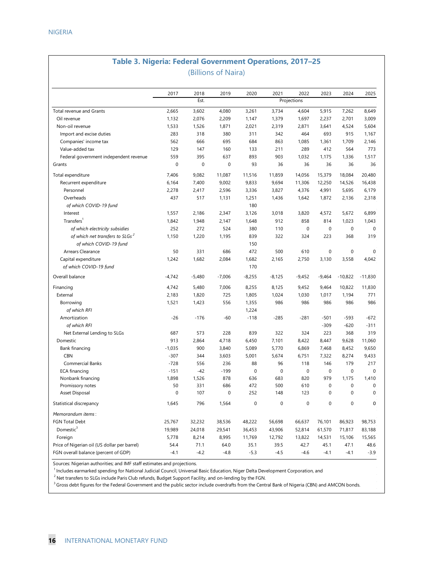### **Table 3. Nigeria: Federal Government Operations, 2017–25** (Billions of Naira)

|                                                                       | 2017              | 2018     | 2019               | 2020        | 2021        | 2022        | 2023             | 2024                   | 2025                            |
|-----------------------------------------------------------------------|-------------------|----------|--------------------|-------------|-------------|-------------|------------------|------------------------|---------------------------------|
|                                                                       |                   | Est.     |                    |             |             | Projections |                  |                        |                                 |
| Total revenue and Grants                                              | 2,665             | 3,602    | 4,080              | 3,261       | 3,734       | 4,604       | 5,915            | 7,262                  | 8,649                           |
| Oil revenue                                                           | 1,132             | 2,076    | 2,209              | 1,147       | 1,379       | 1,697       | 2,237            | 2,701                  | 3,009                           |
| Non-oil revenue                                                       | 1,533             | 1,526    | 1,871              | 2,021       | 2,319       | 2,871       | 3,641            | 4,524                  | 5,604                           |
| Import and excise duties                                              | 283               | 318      | 380                | 311         | 342         | 464         | 693              | 915                    | 1,167                           |
| Companies' income tax                                                 | 562               | 666      | 695                | 684         | 863         | 1,085       | 1,361            | 1,709                  | 2,146                           |
| Value-added tax                                                       | 129               | 147      | 160                | 133         | 211         | 289         | 412              | 564                    | 773                             |
| Federal government independent revenue                                | 559               | 395      | 637                | 893         | 903         | 1,032       | 1,175            | 1,336                  | 1,517                           |
| Grants                                                                | $\mathbf 0$       | 0        | $\mathbf 0$        | 93          | 36          | 36          | 36               | 36                     | 36                              |
| Total expenditure                                                     | 7,406             | 9,082    | 11,087             | 11,516      | 11,859      | 14,056      | 15,379           | 18,084                 | 20,480                          |
| Recurrent expenditure                                                 | 6,164             | 7,400    | 9,002              | 9,833       | 9,694       | 11,306      | 12,250           | 14,526                 | 16,438                          |
| Personnel                                                             | 2,278             | 2,417    | 2,596              | 3,336       | 3,827       | 4,376       | 4,991            | 5,695                  | 6,179                           |
| Overheads                                                             | 437               | 517      | 1,131              | 1,251       | 1,436       | 1,642       | 1,872            | 2,136                  | 2,318                           |
| of which COVID-19 fund                                                |                   |          |                    | 180         |             |             |                  |                        |                                 |
| Interest                                                              | 1,557             | 2,186    | 2,347              | 3,126       | 3,018       | 3,820       | 4,572            | 5,672                  | 6,899                           |
| Transfers <sup>1</sup>                                                | 1,842             | 1,948    | 2,147              | 1,648       | 912         | 858         | 814              | 1,023                  | 1.043                           |
| of which electricity subsidies                                        | 252               | 272      | 524                | 380         | 110         | $\pmb{0}$   | $\pmb{0}$        | $\pmb{0}$              | $\mathbf 0$                     |
| of which net transfers to SLGs <sup>2</sup><br>of which COVID-19 fund | 1,150             | 1,220    | 1,195              | 839<br>150  | 322         | 324         | 223              | 368                    | 319                             |
| Arrears Clearance                                                     | 50                | 331      | 686                | 472         | 500         | 610         | $\mathbf 0$      | $\pmb{0}$              | $\mathbf 0$                     |
| Capital expenditure                                                   | 1,242             | 1,682    | 2,084              | 1,682       | 2,165       | 2,750       | 3,130            | 3,558                  | 4,042                           |
| of which COVID-19 fund                                                |                   |          |                    | 170         |             |             |                  |                        |                                 |
| Overall balance                                                       | $-4,742$          | $-5,480$ | $-7,006$           | $-8,255$    | $-8,125$    | $-9,452$    | $-9,464$         | $-10,822$              | $-11,830$                       |
| Financing                                                             | 4,742             | 5,480    | 7,006              | 8,255       | 8,125       | 9,452       | 9,464            | 10,822                 | 11,830                          |
| External                                                              | 2,183             | 1,820    | 725                | 1,805       | 1,024       | 1,030       | 1,017            | 1,194                  | 771                             |
| Borrowing                                                             | 1,521             | 1,423    | 556                | 1,355       | 986         | 986         | 986              | 986                    | 986                             |
| of which RFI                                                          |                   |          |                    | 1,224       |             |             |                  |                        |                                 |
| Amortization                                                          | $-26$             | $-176$   | $-60$              | $-118$      | $-285$      | $-281$      | $-501$           | $-593$                 | $-672$                          |
| of which RFI                                                          |                   |          |                    |             |             |             | $-309$           | $-620$                 | $-311$                          |
| Net External Lending to SLGs                                          | 687               | 573      | 228                | 839         | 322         | 324         | 223              | 368                    | 319                             |
| Domestic                                                              | 913               | 2,864    | 4,718              | 6,450       | 7,101       | 8,422       | 8,447            | 9,628                  | 11,060                          |
| Bank financing                                                        | $-1,035$          | 900      | 3,840              | 5,089       | 5,770       | 6,869       | 7,468            | 8,452                  | 9,650                           |
| CBN                                                                   | $-307$            | 344      | 3,603              | 5,001       | 5,674       | 6,751       | 7,322            | 8,274                  | 9,433                           |
| Commercial Banks                                                      | $-728$            | 556      | 236                | 88          | 96          | 118         | 146              | 179                    | 217                             |
| <b>ECA financing</b>                                                  | $-151$            | $-42$    | $-199$             | $\mathbf 0$ | $\mathbf 0$ | $\pmb{0}$   | $\mathbf 0$      | $\pmb{0}$              | $\mathbf 0$                     |
| Nonbank financing                                                     | 1,898             | 1,526    | 878                | 636         | 683         | 820         | 979              | 1,175                  | 1,410                           |
| Promissory notes                                                      | 50<br>$\mathbf 0$ | 331      | 686<br>$\mathbf 0$ | 472<br>252  | 500         | 610         | $\mathbf 0$<br>0 | $\pmb{0}$<br>$\pmb{0}$ | $\mathbf 0$<br>$\boldsymbol{0}$ |
| Asset Disposal                                                        |                   | 107      |                    |             | 148         | 123         |                  |                        |                                 |
| Statistical discrepancy                                               | 1,645             | 796      | 1,564              | $\mathbf 0$ | $\mathbf 0$ | $\mathbf 0$ | 0                | $\pmb{0}$              | 0                               |
| Memorandum items:                                                     |                   |          |                    |             |             |             |                  |                        |                                 |
| <b>FGN Total Debt</b>                                                 | 25,767            | 32,232   | 38,536             | 48,222      | 56,698      | 66,637      | 76,101           | 86,923                 | 98,753                          |
| Domestic $3$                                                          | 19,989            | 24,018   | 29,541             | 36,453      | 43,906      | 52,814      | 61,570           | 71,817                 | 83,188                          |
| Foreign                                                               | 5,778             | 8,214    | 8,995              | 11,769      | 12,792      | 13,822      | 14,531           | 15,106                 | 15,565                          |
| Price of Nigerian oil (US dollar per barrel)                          | 54.4              | 71.1     | 64.0               | 35.1        | 39.5        | 42.7        | 45.1             | 47.1                   | 48.6                            |
| FGN overall balance (percent of GDP)                                  | $-4.1$            | $-4.2$   | $-4.8$             | $-5.3$      | $-4.5$      | $-4.6$      | $-4.1$           | $-4.1$                 | $-3.9$                          |

Sources: Nigerian authorities; and IMF staff estimates and projections.

 $<sup>1</sup>$  Includes earmarked spending for National Judicial Council, Universal Basic Education, Niger Delta Development Corporation, and</sup>

<sup>2</sup> Net transfers to SLGs include Paris Club refunds, Budget Support Facility, and on-lending by the FGN.

<sup>3</sup> Gross debt figures for the Federal Government and the public sector include overdrafts from the Central Bank of Nigeria (CBN) and AMCON bonds.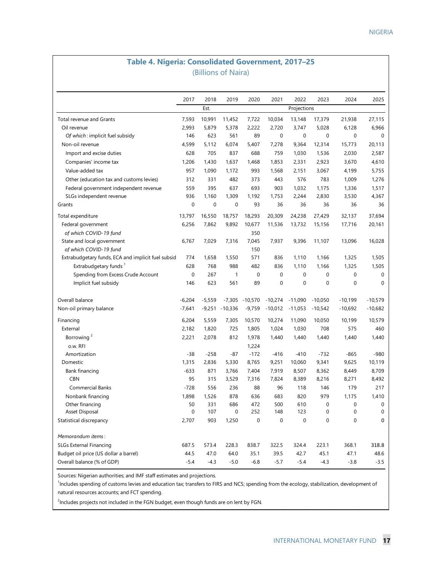### **Table 4. Nigeria: Consolidated Government, 2017–25** (Billions of Naira)

|                                                    | 2017             | 2018        | 2019             | 2020        | 2021      | 2022        | 2023        | 2024      | 2025        |
|----------------------------------------------------|------------------|-------------|------------------|-------------|-----------|-------------|-------------|-----------|-------------|
|                                                    |                  | Est.        |                  |             |           | Projections |             |           |             |
| Total revenue and Grants                           | 7,593            | 10,991      | 11,452           | 7,722       | 10,034    | 13,148      | 17,379      | 21,938    | 27,115      |
| Oil revenue                                        | 2,993            | 5,879       | 5,378            | 2,222       | 2,720     | 3,747       | 5,028       | 6,128     | 6,966       |
| Of which: implicit fuel subsidy                    | 146              | 623         | 561              | 89          | 0         | 0           | $\mathbf 0$ | 0         | $\mathbf 0$ |
| Non-oil revenue                                    | 4,599            | 5,112       | 6,074            | 5,407       | 7,278     | 9,364       | 12,314      | 15,773    | 20,113      |
| Import and excise duties                           | 628              | 705         | 837              | 688         | 759       | 1,030       | 1,536       | 2,030     | 2,587       |
| Companies' income tax                              | 1,206            | 1,430       | 1,637            | 1,468       | 1,853     | 2,331       | 2,923       | 3,670     | 4,610       |
| Value-added tax                                    | 957              | 1,090       | 1,172            | 993         | 1,568     | 2,151       | 3,067       | 4,199     | 5,755       |
| Other (education tax and customs levies)           | 312              | 331         | 482              | 373         | 443       | 576         | 783         | 1,009     | 1,276       |
| Federal government independent revenue             | 559              | 395         | 637              | 693         | 903       | 1,032       | 1,175       | 1,336     | 1,517       |
| SLGs independent revenue                           | 936              | 1,160       | 1,309            | 1,192       | 1,753     | 2,244       | 2,830       | 3,530     | 4,367       |
| Grants                                             | $\boldsymbol{0}$ | $\mathbf 0$ | $\boldsymbol{0}$ | 93          | 36        | 36          | 36          | 36        | 36          |
| Total expenditure                                  | 13,797           | 16,550      | 18,757           | 18,293      | 20,309    | 24,238      | 27,429      | 32,137    | 37,694      |
| Federal government                                 | 6,256            | 7,862       | 9,892            | 10,677      | 11,536    | 13,732      | 15,156      | 17,716    | 20,161      |
| of which COVID-19 fund                             |                  |             |                  | 350         |           |             |             |           |             |
| State and local government                         | 6,767            | 7,029       | 7,316            | 7,045       | 7,937     | 9,396       | 11,107      | 13,096    | 16,028      |
| of which COVID-19 fund                             |                  |             |                  | 150         |           |             |             |           |             |
| Extrabudgetary funds, ECA and implicit fuel subsid | 774              | 1,658       | 1,550            | 571         | 836       | 1,110       | 1,166       | 1,325     | 1,505       |
| Extrabudgetary funds <sup>1</sup>                  | 628              | 768         | 988              | 482         | 836       | 1,110       | 1,166       | 1,325     | 1,505       |
| Spending from Excess Crude Account                 | 0                | 267         | 1                | $\mathbf 0$ | 0         | 0           | 0           | 0         | 0           |
| Implicit fuel subsidy                              | 146              | 623         | 561              | 89          | 0         | 0           | $\mathbf 0$ | 0         | 0           |
| Overall balance                                    | $-6,204$         | $-5,559$    | $-7,305$         | $-10,570$   | $-10,274$ | $-11,090$   | $-10,050$   | $-10,199$ | $-10,579$   |
| Non-oil primary balance                            | $-7,641$         | $-9,251$    | $-10,336$        | $-9,759$    | $-10,012$ | $-11,053$   | $-10,542$   | $-10,692$ | $-10,682$   |
| Financing                                          | 6,204            | 5,559       | 7,305            | 10,570      | 10,274    | 11,090      | 10,050      | 10,199    | 10,579      |
| External                                           | 2,182            | 1,820       | 725              | 1,805       | 1,024     | 1,030       | 708         | 575       | 460         |
| Borrowing <sup>2</sup>                             | 2,221            | 2,078       | 812              | 1,978       | 1,440     | 1,440       | 1,440       | 1,440     | 1,440       |
| o.w. RFI                                           |                  |             |                  | 1,224       |           |             |             |           |             |
| Amortization                                       | $-38$            | $-258$      | $-87$            | $-172$      | $-416$    | $-410$      | $-732$      | $-865$    | -980        |
| Domestic                                           | 1,315            | 2,836       | 5,330            | 8,765       | 9,251     | 10,060      | 9,341       | 9,625     | 10,119      |
| <b>Bank financing</b>                              | $-633$           | 871         | 3,766            | 7,404       | 7,919     | 8,507       | 8,362       | 8,449     | 8,709       |
| <b>CBN</b>                                         | 95               | 315         | 3,529            | 7,316       | 7,824     | 8,389       | 8,216       | 8,271     | 8,492       |
| Commercial Banks                                   | $-728$           | 556         | 236              | 88          | 96        | 118         | 146         | 179       | 217         |
| Nonbank financing                                  | 1,898            | 1,526       | 878              | 636         | 683       | 820         | 979         | 1,175     | 1,410       |
| Other financing                                    | 50               | 331         | 686              | 472         | 500       | 610         | 0           | 0         | 0           |
| Asset Disposal                                     | $\pmb{0}$        | 107         | $\boldsymbol{0}$ | 252         | 148       | 123         | $\mathbf 0$ | $\pmb{0}$ | 0           |
| Statistical discrepancy                            | 2,707            | 903         | 1,250            | 0           | 0         | 0           | $\mathbf 0$ | $\pmb{0}$ | 0           |
| Memorandum items:                                  |                  |             |                  |             |           |             |             |           |             |
| <b>SLGs External Financing</b>                     | 687.5            | 573.4       | 228.3            | 838.7       | 322.5     | 324.4       | 223.1       | 368.1     | 318.8       |
| Budget oil price (US dollar a barrel)              | 44.5             | 47.0        | 64.0             | 35.1        | 39.5      | 42.7        | 45.1        | 47.1      | 48.6        |
| Overall balance (% of GDP)                         | $-5.4$           | $-4.3$      | $-5.0$           | $-6.8$      | $-5.7$    | $-5.4$      | $-4.3$      | $-3.8$    | $-3.5$      |

Sources: Nigerian authorities; and IMF staff estimates and projections.

<sup>1</sup>Includes spending of customs levies and education tax; transfers to FIRS and NCS; spending from the ecology, stabilization, development of natural resources accounts; and FCT spending.

 $^2$ Includes projects not included in the FGN budget, even though funds are on lent by FGN.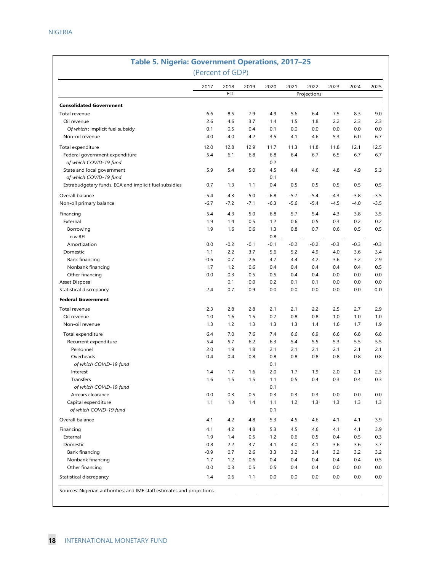| Table 5. Nigeria: Government Operations, 2017-25      | (Percent of GDP) |              |            |            |                    |                     |                    |                    |            |
|-------------------------------------------------------|------------------|--------------|------------|------------|--------------------|---------------------|--------------------|--------------------|------------|
|                                                       | 2017             | 2018<br>Est. | 2019       | 2020       | 2021               | 2022<br>Projections | 2023               | 2024               | 2025       |
| <b>Consolidated Government</b>                        |                  |              |            |            |                    |                     |                    |                    |            |
| Total revenue                                         | 6.6              | 8.5          | 7.9        | 4.9        | 5.6                | 6.4                 | 7.5                | 8.3                | 9.0        |
| Oil revenue                                           | 2.6              | 4.6          | 3.7        | 1.4        | 1.5                | 1.8                 | 2.2                | 2.3                | 2.3        |
| Of which: implicit fuel subsidy                       | 0.1              | 0.5          | 0.4        | 0.1        | 0.0                | 0.0                 | 0.0                | 0.0                | 0.0        |
| Non-oil revenue                                       | 4.0              | 4.0          | 4.2        | 3.5        | 4.1                | 4.6                 | 5.3                | 6.0                | 6.7        |
| Total expenditure                                     | 12.0             | 12.8         | 12.9       | 11.7       | 11.3               | 11.8                | 11.8               | 12.1               | 12.5       |
| Federal government expenditure                        | 5.4              | 6.1          | 6.8        | 6.8        | 6.4                | 6.7                 | 6.5                | 6.7                | 6.7        |
| of which COVID-19 fund                                |                  |              |            | 0.2        |                    |                     |                    |                    |            |
| State and local government                            | 5.9              | 5.4          | 5.0        | 4.5        | 4.4                | 4.6                 | 4.8                | 4.9                | 5.3        |
| of which COVID-19 fund                                |                  |              |            | 0.1        |                    |                     |                    |                    |            |
| Extrabudgetary funds, ECA and implicit fuel subsidies | 0.7              | 1.3          | 1.1        | 0.4        | 0.5                | 0.5                 | 0.5                | 0.5                | 0.5        |
| Overall balance                                       | $-5.4$           | $-4.3$       | $-5.0$     | $-6.8$     | $-5.7$             | $-5.4$              | $-4.3$             | $-3.8$             | $-3.5$     |
| Non-oil primary balance                               | $-6.7$           | $-7.2$       | $-7.1$     | $-6.3$     | $-5.6$             | $-5.4$              | $-4.5$             | $-4.0$             | $-3.5$     |
|                                                       |                  |              |            |            |                    |                     |                    |                    |            |
| Financing                                             | 5.4              | 4.3<br>1.4   | 5.0        | 6.8<br>1.2 | 5.7<br>0.6         | 5.4                 | 4.3                | 3.8                | 3.5        |
| External<br>Borrowing                                 | 1.9<br>1.9       | 1.6          | 0.5<br>0.6 | 1.3        | 0.8                | 0.5<br>0.7          | 0.3<br>0.6         | 0.2<br>0.5         | 0.2<br>0.5 |
| o.w.RFI                                               |                  |              |            | 0.8        |                    |                     |                    |                    |            |
| Amortization                                          | 0.0              | $-0.2$       | $-0.1$     | $-0.1$     | $\cdots$<br>$-0.2$ | <br>$-0.2$          | $\cdots$<br>$-0.3$ | $\ldots$<br>$-0.3$ | $-0.3$     |
| Domestic                                              | 1.1              | 2.2          | 3.7        | 5.6        | 5.2                | 4.9                 | 4.0                | 3.6                | 3.4        |
| Bank financing                                        | $-0.6$           | 0.7          | 2.6        | 4.7        | 4.4                | 4.2                 | 3.6                | 3.2                | 2.9        |
| Nonbank financing                                     | 1.7              | 1.2          | 0.6        | 0.4        | 0.4                | 0.4                 | 0.4                | 0.4                | 0.5        |
| Other financing                                       | 0.0              | 0.3          | 0.5        | 0.5        | 0.4                | 0.4                 | 0.0                | 0.0                | 0.0        |
| Asset Disposal                                        |                  | 0.1          | 0.0        | 0.2        | 0.1                | 0.1                 | 0.0                | 0.0                | 0.0        |
| Statistical discrepancy                               | 2.4              | 0.7          | 0.9        | 0.0        | 0.0                | 0.0                 | 0.0                | 0.0                | 0.0        |
| <b>Federal Government</b>                             |                  |              |            |            |                    |                     |                    |                    |            |
| Total revenue                                         | 2.3              | 2.8          | 2.8        | 2.1        | 2.1                | 2.2                 | 2.5                | 2.7                | 2.9        |
| Oil revenue                                           | 1.0              | 1.6          | 1.5        | 0.7        | 0.8                | 0.8                 | 1.0                | 1.0                | 1.0        |
| Non-oil revenue                                       | 1.3              | 1.2          | 1.3        | 1.3        | 1.3                | 1.4                 | 1.6                | 1.7                | 1.9        |
| Total expenditure                                     | 6.4              | 7.0          | 7.6        | 7.4        | 6.6                | 6.9                 | 6.6                | 6.8                | 6.8        |
| Recurrent expenditure                                 | 5.4              | 5.7          | 6.2        | 6.3        | 5.4                | 5.5                 | 5.3                | 5.5                | 5.5        |
| Personnel                                             | 2.0              | 1.9          | 1.8        | 2.1        | 2.1                | 2.1                 | 2.1                | 2.1                | 2.1        |
| Overheads                                             | 0.4              | 0.4          | 0.8        | 0.8        | 0.8                | 0.8                 | 0.8                | 0.8                | 0.8        |
| of which COVID-19 fund                                |                  |              |            | 0.1        |                    |                     |                    |                    |            |
| Interest                                              | 1.4              | 1.7          | 1.6        | 2.0        | 1.7                | 1.9                 | 2.0                | 2.1                | 2.3        |
| Transfers                                             | 1.6              | 1.5          | 1.5        | 1.1        | 0.5                | 0.4                 | 0.3                | 0.4                | 0.3        |
| of which COVID-19 fund                                |                  |              |            | 0.1        |                    |                     |                    |                    |            |
| Arrears clearance                                     | 0.0              | 0.3          | 0.5        | 0.3        | 0.3                | 0.3                 | 0.0                | 0.0                | 0.0        |
| Capital expenditure                                   | 1.1              | 1.3          | 1.4        | 1.1        | 1.2                | 1.3                 | 1.3                | 1.3                | 1.3        |
| of which COVID-19 fund                                |                  |              |            | 0.1        |                    |                     |                    |                    |            |
| Overall balance                                       | $-4.1$           | $-4.2$       | $-4.8$     | $-5.3$     | $-4.5$             | -4.6                | -4.1               | $-4.1$             | $-3.9$     |
| Financing                                             | 4.1              | 4.2          | 4.8        | 5.3        | 4.5                | 4.6                 | 4.1                | 4.1                | 3.9        |
| External                                              | 1.9              | 1.4          | 0.5        | 1.2        | 0.6                | 0.5                 | 0.4                | 0.5                | 0.3        |
| Domestic                                              | 0.8              | 2.2          | 3.7        | 4.1        | 4.0                | 4.1                 | 3.6                | 3.6                | 3.7        |
| Bank financing                                        | $-0.9$           | 0.7          | 2.6        | 3.3        | 3.2                | 3.4                 | 3.2                | 3.2                | 3.2        |
| Nonbank financing                                     | 1.7              | 1.2          | 0.6        | 0.4        | 0.4                | 0.4                 | 0.4                | 0.4                | 0.5        |
| Other financing                                       | 0.0              | 0.3          | 0.5        | 0.5        | 0.4                | 0.4                 | 0.0                | 0.0                | 0.0        |
| Statistical discrepancy                               | 1.4              | 0.6          | 1.1        | 0.0        | 0.0                | 0.0                 | 0.0                | 0.0                | 0.0        |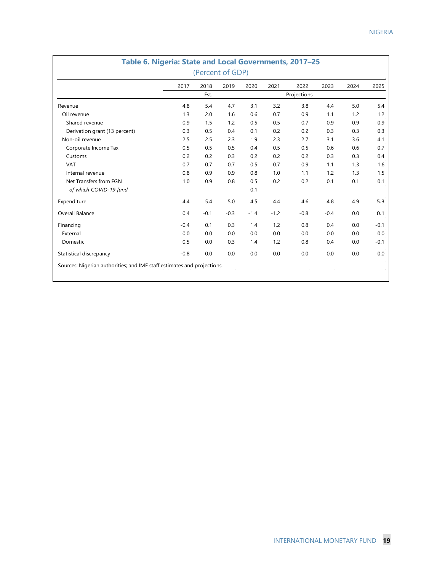|                               |        |        | (Percent of GDP) |        |        |             |        |      |        |
|-------------------------------|--------|--------|------------------|--------|--------|-------------|--------|------|--------|
|                               | 2017   | 2018   | 2019             | 2020   | 2021   | 2022        | 2023   | 2024 | 2025   |
|                               |        | Est.   |                  |        |        | Projections |        |      |        |
| Revenue                       | 4.8    | 5.4    | 4.7              | 3.1    | 3.2    | 3.8         | 4.4    | 5.0  | 5.4    |
| Oil revenue                   | 1.3    | 2.0    | 1.6              | 0.6    | 0.7    | 0.9         | 1.1    | 1.2  | 1.2    |
| Shared revenue                | 0.9    | 1.5    | 1.2              | 0.5    | 0.5    | 0.7         | 0.9    | 0.9  | 0.9    |
| Derivation grant (13 percent) | 0.3    | 0.5    | 0.4              | 0.1    | 0.2    | 0.2         | 0.3    | 0.3  | 0.3    |
| Non-oil revenue               | 2.5    | 2.5    | 2.3              | 1.9    | 2.3    | 2.7         | 3.1    | 3.6  | 4.1    |
| Corporate Income Tax          | 0.5    | 0.5    | 0.5              | 0.4    | 0.5    | 0.5         | 0.6    | 0.6  | 0.7    |
| Customs                       | 0.2    | 0.2    | 0.3              | 0.2    | 0.2    | 0.2         | 0.3    | 0.3  | 0.4    |
| <b>VAT</b>                    | 0.7    | 0.7    | 0.7              | 0.5    | 0.7    | 0.9         | 1.1    | 1.3  | 1.6    |
| Internal revenue              | 0.8    | 0.9    | 0.9              | 0.8    | 1.0    | 1.1         | 1.2    | 1.3  | 1.5    |
| Net Transfers from FGN        | 1.0    | 0.9    | 0.8              | 0.5    | 0.2    | 0.2         | 0.1    | 0.1  | 0.1    |
| of which COVID-19 fund        |        |        |                  | 0.1    |        |             |        |      |        |
| Expenditure                   | 4.4    | 5.4    | 5.0              | 4.5    | 4.4    | 4.6         | 4.8    | 4.9  | 5.3    |
| Overall Balance               | 0.4    | $-0.1$ | $-0.3$           | $-1.4$ | $-1.2$ | $-0.8$      | $-0.4$ | 0.0  | 0.1    |
| Financing                     | $-0.4$ | 0.1    | 0.3              | 1.4    | 1.2    | 0.8         | 0.4    | 0.0  | $-0.1$ |
| External                      | 0.0    | 0.0    | 0.0              | 0.0    | 0.0    | 0.0         | 0.0    | 0.0  | 0.0    |
| Domestic                      | 0.5    | 0.0    | 0.3              | 1.4    | 1.2    | 0.8         | 0.4    | 0.0  | $-0.1$ |
| Statistical discrepancy       | $-0.8$ | 0.0    | 0.0              | 0.0    | 0.0    | 0.0         | 0.0    | 0.0  | 0.0    |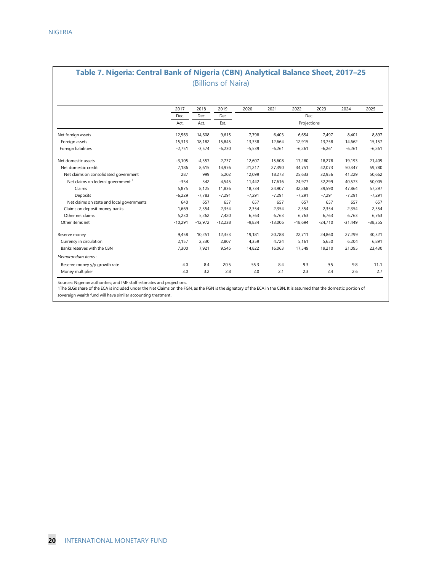### **Table 7. Nigeria: Central Bank of Nigeria (CBN) Analytical Balance Sheet, 2017–25** (Billions of Naira)

|                                               | 2017      | 2018      | 2019      | 2020     | 2021      | 2022        | 2023      | 2024      | 2025      |
|-----------------------------------------------|-----------|-----------|-----------|----------|-----------|-------------|-----------|-----------|-----------|
|                                               | Dec.      | Dec.      | Dec       |          |           | Dec.        |           |           |           |
|                                               | Act.      | Act.      | Est.      |          |           | Projections |           |           |           |
| Net foreign assets                            | 12,563    | 14,608    | 9,615     | 7,798    | 6,403     | 6,654       | 7,497     | 8,401     | 8,897     |
| Foreign assets                                | 15,313    | 18,182    | 15,845    | 13,338   | 12,664    | 12,915      | 13,758    | 14,662    | 15,157    |
| Foreign liabilities                           | $-2,751$  | $-3,574$  | $-6,230$  | $-5,539$ | $-6,261$  | $-6,261$    | $-6,261$  | $-6,261$  | $-6,261$  |
| Net domestic assets                           | $-3,105$  | $-4,357$  | 2.737     | 12,607   | 15,608    | 17,280      | 18,278    | 19,193    | 21,409    |
| Net domestic credit                           | 7,186     | 8,615     | 14,976    | 21,217   | 27,390    | 34,751      | 42,073    | 50,347    | 59,780    |
| Net claims on consolidated government         | 287       | 999       | 5,202     | 12,099   | 18,273    | 25,633      | 32,956    | 41,229    | 50,662    |
| Net claims on federal government <sup>1</sup> | $-354$    | 342       | 4,545     | 11,442   | 17.616    | 24,977      | 32,299    | 40,573    | 50,005    |
| Claims                                        | 5.875     | 8.125     | 11.836    | 18.734   | 24.907    | 32,268      | 39.590    | 47.864    | 57.297    |
| Deposits                                      | $-6.229$  | $-7.783$  | $-7,291$  | $-7,291$ | $-7,291$  | $-7.291$    | $-7.291$  | $-7,291$  | $-7,291$  |
| Net claims on state and local governments     | 640       | 657       | 657       | 657      | 657       | 657         | 657       | 657       | 657       |
| Claims on deposit money banks                 | 1,669     | 2,354     | 2,354     | 2,354    | 2,354     | 2,354       | 2,354     | 2,354     | 2,354     |
| Other net claims                              | 5,230     | 5,262     | 7,420     | 6,763    | 6,763     | 6,763       | 6,763     | 6,763     | 6,763     |
| Other items net                               | $-10,291$ | $-12,972$ | $-12,238$ | $-9,834$ | $-13,006$ | $-18,694$   | $-24,710$ | $-31,449$ | $-38,355$ |
| Reserve money                                 | 9,458     | 10,251    | 12,353    | 19,181   | 20,788    | 22,711      | 24,860    | 27,299    | 30,321    |
| Currency in circulation                       | 2,157     | 2,330     | 2,807     | 4,359    | 4.724     | 5.161       | 5,650     | 6,204     | 6,891     |
| Banks reserves with the CBN                   | 7,300     | 7,921     | 9,545     | 14,822   | 16,063    | 17,549      | 19,210    | 21,095    | 23,430    |
| Memorandum items:                             |           |           |           |          |           |             |           |           |           |
| Reserve money y/y growth rate                 | 4.0       | 8.4       | 20.5      | 55.3     | 8.4       | 9.3         | 9.5       | 9.8       | 11.1      |
| Money multiplier                              | 3.0       | 3.2       | 2.8       | 2.0      | 2.1       | 2.3         | 2.4       | 2.6       | 2.7       |

Sources: Nigerian authorities; and IMF staff estimates and projections.

1The SLGs share of the ECA is included under the Net Claims on the FGN, as the FGN is the signatory of the ECA in the CBN. It is assumed that the domestic portion of

sovereign wealth fund will have similar accounting treatment.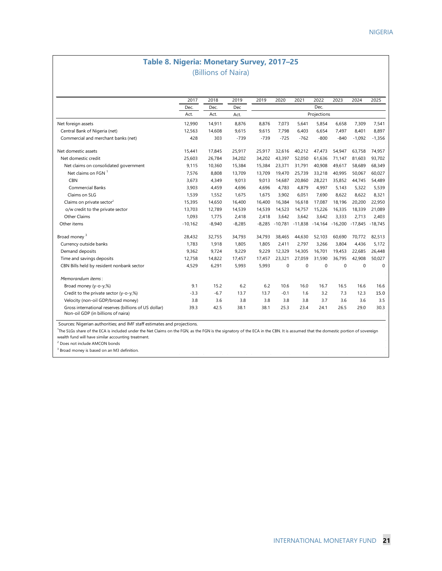### **Table 8. Nigeria: Monetary Survey, 2017–25** (Billions of Naira)

|                                                                                            | 2017      | 2018     | 2019     | 2019   | 2020      | 2021        | 2022        | 2023                                             | 2024              | 2025     |
|--------------------------------------------------------------------------------------------|-----------|----------|----------|--------|-----------|-------------|-------------|--------------------------------------------------|-------------------|----------|
|                                                                                            | Dec.      | Dec.     | Dec      |        |           |             | Dec.        |                                                  |                   |          |
|                                                                                            | Act.      | Act.     | Act.     |        |           |             | Projections |                                                  |                   |          |
| Net foreign assets                                                                         | 12,990    | 14,911   | 8,876    | 8,876  | 7,073     | 5,641       | 5,854       | 6,658                                            | 7,309             | 7,541    |
| Central Bank of Nigeria (net)                                                              | 12,563    | 14,608   | 9,615    | 9,615  | 7,798     | 6,403       | 6,654       | 7,497                                            | 8,401             | 8,897    |
| Commercial and merchant banks (net)                                                        | 428       | 303      | $-739$   | $-739$ | $-725$    | $-762$      | $-800$      | $-840$                                           | $-1,092$          | $-1,356$ |
| Net domestic assets                                                                        | 15.441    | 17.845   | 25,917   | 25,917 | 32.616    | 40,212      | 47,473      | 54.947                                           | 63.758            | 74,957   |
| Net domestic credit                                                                        | 25,603    | 26,784   | 34,202   | 34,202 | 43,397    | 52,050      | 61,636      | 71,147                                           | 81,603            | 93,702   |
| Net claims on consolidated government                                                      | 9,115     | 10,360   | 15,384   | 15,384 | 23,371    | 31,791      | 40,908      | 49,617                                           | 58,689            | 68,349   |
| Net claims on FGN 1                                                                        | 7,576     | 8.808    | 13,709   | 13,709 | 19.470    | 25.739      | 33.218      | 40.995                                           | 50.067            | 60.027   |
| <b>CBN</b>                                                                                 | 3,673     | 4,349    | 9,013    | 9,013  | 14,687    | 20,860      | 28,221      | 35,852                                           | 44,745            | 54,489   |
| <b>Commercial Banks</b>                                                                    | 3,903     | 4,459    | 4,696    | 4,696  | 4,783     | 4,879       | 4,997       | 5,143                                            | 5,322             | 5,539    |
| Claims on SLG                                                                              | 1,539     | 1,552    | 1,675    | 1,675  | 3,902     | 6,051       | 7,690       | 8,622                                            | 8,622             | 8,321    |
| Claims on private sector <sup>2</sup>                                                      | 15,395    | 14,650   | 16,400   | 16,400 | 16,384    | 16,618      | 17,087      | 18,196                                           | 20,200            | 22,950   |
| o/w credit to the private sector                                                           | 13,703    | 12,789   | 14,539   | 14,539 | 14,523    | 14,757      | 15,226      | 16,335                                           | 18,339            | 21,089   |
| Other Claims                                                                               | 1,093     | 1,775    | 2,418    | 2,418  | 3,642     | 3,642       | 3,642       | 3,333                                            | 2,713             | 2,403    |
| Other items                                                                                | $-10,162$ | $-8,940$ | $-8,285$ |        |           |             |             | $-8,285$ $-10,781$ $-11,838$ $-14,164$ $-16,200$ | $-17,845 -18,745$ |          |
| Broad money <sup>3</sup>                                                                   | 28,432    | 32,755   | 34,793   | 34,793 | 38,465    | 44,630      | 52,103      | 60,690                                           | 70,772            | 82,513   |
| Currency outside banks                                                                     | 1.783     | 1,918    | 1,805    | 1,805  | 2,411     | 2.797       | 3,266       | 3.804                                            | 4,436             | 5,172    |
| Demand deposits                                                                            | 9,362     | 9,724    | 9,229    | 9,229  | 12,329    | 14,305      | 16,701      | 19,453                                           | 22,685            | 26,448   |
| Time and savings deposits                                                                  | 12,758    | 14,822   | 17,457   | 17.457 | 23.321    | 27,059      | 31,590      | 36.795                                           | 42,908            | 50,027   |
| CBN Bills held by resident nonbank sector                                                  | 4,529     | 6,291    | 5,993    | 5,993  | $\pmb{0}$ | $\mathbf 0$ | $\Omega$    | $\Omega$                                         | $\Omega$          | $\Omega$ |
| Memorandum items:                                                                          |           |          |          |        |           |             |             |                                                  |                   |          |
| Broad money (y-o-y,%)                                                                      | 9.1       | 15.2     | 6.2      | 6.2    | 10.6      | 16.0        | 16.7        | 16.5                                             | 16.6              | 16.6     |
| Credit to the private sector (y-o-y,%)                                                     | $-3.3$    | $-6.7$   | 13.7     | 13.7   | $-0.1$    | 1.6         | 3.2         | 7.3                                              | 12.3              | 15.0     |
| Velocity (non-oil GDP/broad money)                                                         | 3.8       | 3.6      | 3.8      | 3.8    | 3.8       | 3.8         | 3.7         | 3.6                                              | 3.6               | 3.5      |
| Gross international reserves (billions of US dollar)<br>Non-oil GDP (in billions of naira) | 39.3      | 42.5     | 38.1     | 38.1   | 25.3      | 23.4        | 24.1        | 26.5                                             | 29.0              | 30.3     |

ealth fund will have similar accounting treatment

<sup>2</sup> Does not include AMCON bonds

<sup>3</sup> Broad money is based on an M3 definition.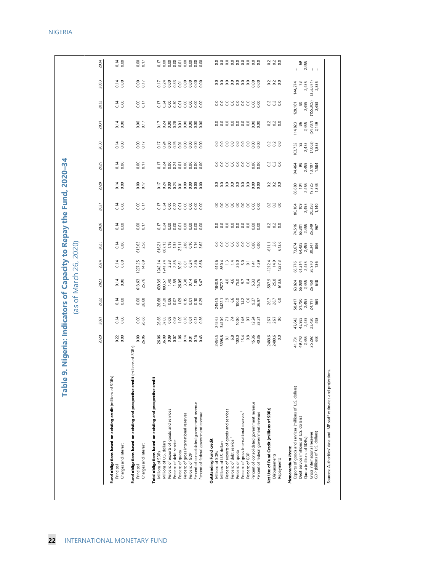| 2025<br>888888888<br>0.14<br>613.63<br>2.58<br>$-611.1$<br>$-6$<br>$-6$<br>$-6$<br>616.21<br>867.13<br>867.13<br>1.386<br>1.386<br>1.582<br>1.62<br>1227.25<br>$-1212.4$<br>$14.9$<br>$127.3$<br>2024<br>0.14<br>$\begin{array}{l} 613.6 \\ 603.4 \\ 860.1 \\ -140.0 \\ 70.0 \\ -140.0 \\ -140.0 \\ -140.0 \\ -140.0 \\ -140.0 \\ -140.0 \\ -140.0 \\ -140.0 \\ -140.0 \\ -140.0 \\ -140.0 \\ -140.0 \\ -140.0 \\ -140.0 \\ -140.0 \\ -140.0 \\ -140.0 \\ -140.0 \\ -140.0 \\ -140.0 \\ -140.0 \\ -140.0 \\ -140.0 \\ -140.0 \\ -140.0 \\ -140$<br>68,776<br>61,2145<br>61,455<br>8,978<br>-587.9<br>25.8<br>613.6<br>2023<br>613.63<br>25.76<br>0.14<br>39.39<br>393.57<br>26.05<br>26.07<br>26.07<br>5.47<br>1840<br>2572.7<br>2572.7<br>26.9<br>26.99<br>26.99<br>324<br>56,080<br>56,450<br>26,460 | 88888888<br>0.000<br>$-788358888$<br>3300<br>0.17<br>2027<br>2026<br>0.14<br>0.00<br>0.17<br>888888888<br>3380<br>등청용용등용용용 | 2028<br>88888888<br>0.00<br>0.00<br>0.17<br>33000<br>538858888 | 888888888<br>2029<br>0.000<br>0.00<br>538358888<br>338 | 2030<br>$\begin{array}{c} 2 & 0 \\ 0 & 0 \\ 0 & 0 \end{array}$<br>0.14<br>0.07<br>5385888888 | 0.14<br>33000<br>0.17<br>538858888<br>2031<br>114,823<br>86<br>2,455 | 2,455<br>144,274<br>73<br>2032<br>0.000<br>0.07<br>88888888<br>338<br>7788658888<br>2,455<br>128, 161<br>80                                                                                                                                                                                                          |
|--------------------------------------------------------------------------------------------------------------------------------------------------------------------------------------------------------------------------------------------------------------------------------------------------------------------------------------------------------------------------------------------------------------------------------------------------------------------------------------------------------------------------------------------------------------------------------------------------------------------------------------------------------------------------------------------------------------------------------------------------------------------------------------------------------|----------------------------------------------------------------------------------------------------------------------------|----------------------------------------------------------------|--------------------------------------------------------|----------------------------------------------------------------------------------------------|----------------------------------------------------------------------|----------------------------------------------------------------------------------------------------------------------------------------------------------------------------------------------------------------------------------------------------------------------------------------------------------------------|
|                                                                                                                                                                                                                                                                                                                                                                                                                                                                                                                                                                                                                                                                                                                                                                                                        |                                                                                                                            |                                                                |                                                        |                                                                                              |                                                                      | $(353,871)$<br>$2,855$<br>$(155,305)$<br>$2,453$<br>$(54, 787)$<br>2, 149<br>$\begin{array}{r} 103,732 \\ 92 \\ 2,455 \\ (7,063) \\ 1,855 \end{array}$<br>96,680<br>104<br>2,455<br>1,345<br>1,345<br>0<br>109<br>2455<br>20,388<br>20,742<br>74,516<br>65,301<br>65,455<br>26,349<br>ಗ್ಧ 435<br>ಡಿ. 435<br>೧ ನಿ ಸಂಜ |
|                                                                                                                                                                                                                                                                                                                                                                                                                                                                                                                                                                                                                                                                                                                                                                                                        |                                                                                                                            |                                                                |                                                        |                                                                                              |                                                                      |                                                                                                                                                                                                                                                                                                                      |
|                                                                                                                                                                                                                                                                                                                                                                                                                                                                                                                                                                                                                                                                                                                                                                                                        |                                                                                                                            |                                                                |                                                        |                                                                                              |                                                                      |                                                                                                                                                                                                                                                                                                                      |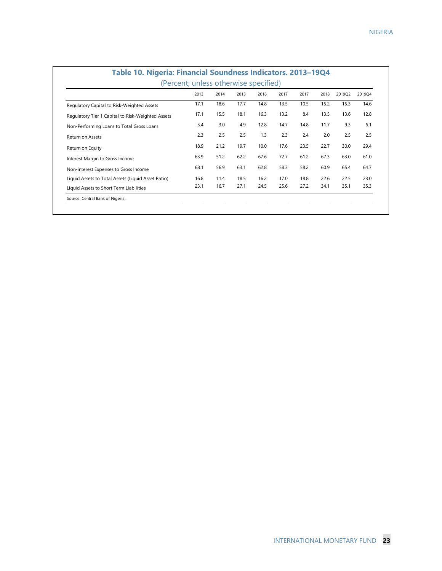|                                                    | 2013 | 2014 | 2015 | 2016 | 2017 | 2017 | 2018 | 2019Q2 | 2019Q4 |
|----------------------------------------------------|------|------|------|------|------|------|------|--------|--------|
| Regulatory Capital to Risk-Weighted Assets         | 17.1 | 18.6 | 17.7 | 14.8 | 13.5 | 10.5 | 15.2 | 15.3   | 14.6   |
| Regulatory Tier 1 Capital to Risk-Weighted Assets  | 17.1 | 15.5 | 18.1 | 16.3 | 13.2 | 8.4  | 13.5 | 13.6   | 12.8   |
| Non-Performing Loans to Total Gross Loans          | 3.4  | 3.0  | 4.9  | 12.8 | 14.7 | 14.8 | 11.7 | 9.3    | 6.1    |
| Return on Assets                                   | 2.3  | 2.5  | 2.5  | 1.3  | 2.3  | 2.4  | 2.0  | 2.5    | 2.5    |
| Return on Equity                                   | 18.9 | 21.2 | 19.7 | 10.0 | 17.6 | 23.5 | 22.7 | 30.0   | 29.4   |
| Interest Margin to Gross Income                    | 63.9 | 51.2 | 62.2 | 67.6 | 72.7 | 61.2 | 67.3 | 63.0   | 61.0   |
| Non-interest Expenses to Gross Income              | 68.1 | 56.9 | 63.1 | 62.8 | 58.3 | 58.2 | 60.9 | 65.4   | 64.7   |
| Liquid Assets to Total Assets (Liquid Asset Ratio) | 16.8 | 11.4 | 18.5 | 16.2 | 17.0 | 18.8 | 22.6 | 22.5   | 23.0   |
| Liquid Assets to Short Term Liabilities            | 23.1 | 16.7 | 27.1 | 24.5 | 25.6 | 27.2 | 34.1 | 35.1   | 35.3   |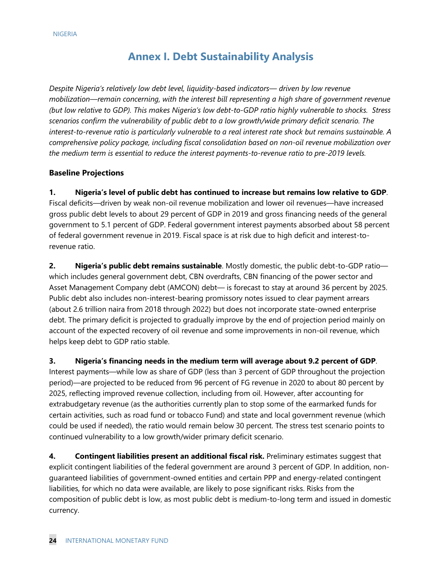### **Annex I. Debt Sustainability Analysis**

*Despite Nigeria's relatively low debt level, liquidity-based indicators— driven by low revenue mobilization—remain concerning, with the interest bill representing a high share of government revenue (but low relative to GDP). This makes Nigeria's low debt-to-GDP ratio highly vulnerable to shocks. Stress scenarios confirm the vulnerability of public debt to a low growth/wide primary deficit scenario. The interest-to-revenue ratio is particularly vulnerable to a real interest rate shock but remains sustainable. A comprehensive policy package, including fiscal consolidation based on non-oil revenue mobilization over the medium term is essential to reduce the interest payments-to-revenue ratio to pre-2019 levels.* 

### **Baseline Projections**

**1. Nigeria's level of public debt has continued to increase but remains low relative to GDP**. Fiscal deficits—driven by weak non-oil revenue mobilization and lower oil revenues—have increased gross public debt levels to about 29 percent of GDP in 2019 and gross financing needs of the general government to 5.1 percent of GDP. Federal government interest payments absorbed about 58 percent of federal government revenue in 2019. Fiscal space is at risk due to high deficit and interest-torevenue ratio.

**2. Nigeria's public debt remains sustainable**. Mostly domestic, the public debt-to-GDP ratio which includes general government debt, CBN overdrafts, CBN financing of the power sector and Asset Management Company debt (AMCON) debt— is forecast to stay at around 36 percent by 2025. Public debt also includes non-interest-bearing promissory notes issued to clear payment arrears (about 2.6 trillion naira from 2018 through 2022) but does not incorporate state-owned enterprise debt. The primary deficit is projected to gradually improve by the end of projection period mainly on account of the expected recovery of oil revenue and some improvements in non-oil revenue, which helps keep debt to GDP ratio stable.

**3. Nigeria's financing needs in the medium term will average about 9.2 percent of GDP**. Interest payments—while low as share of GDP (less than 3 percent of GDP throughout the projection period)—are projected to be reduced from 96 percent of FG revenue in 2020 to about 80 percent by 2025, reflecting improved revenue collection, including from oil. However, after accounting for extrabudgetary revenue (as the authorities currently plan to stop some of the earmarked funds for certain activities, such as road fund or tobacco Fund) and state and local government revenue (which could be used if needed), the ratio would remain below 30 percent. The stress test scenario points to continued vulnerability to a low growth/wider primary deficit scenario.

**4. Contingent liabilities present an additional fiscal risk.** Preliminary estimates suggest that explicit contingent liabilities of the federal government are around 3 percent of GDP. In addition, nonguaranteed liabilities of government-owned entities and certain PPP and energy-related contingent liabilities, for which no data were available, are likely to pose significant risks. Risks from the composition of public debt is low, as most public debt is medium-to-long term and issued in domestic currency.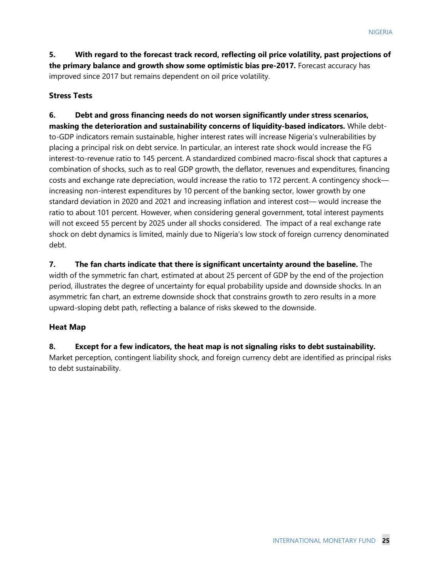**5. With regard to the forecast track record, reflecting oil price volatility, past projections of the primary balance and growth show some optimistic bias pre-2017.** Forecast accuracy has improved since 2017 but remains dependent on oil price volatility.

### **Stress Tests**

**6. Debt and gross financing needs do not worsen significantly under stress scenarios, masking the deterioration and sustainability concerns of liquidity-based indicators.** While debtto-GDP indicators remain sustainable, higher interest rates will increase Nigeria's vulnerabilities by placing a principal risk on debt service. In particular, an interest rate shock would increase the FG interest-to-revenue ratio to 145 percent. A standardized combined macro-fiscal shock that captures a combination of shocks, such as to real GDP growth, the deflator, revenues and expenditures, financing costs and exchange rate depreciation, would increase the ratio to 172 percent. A contingency shock increasing non-interest expenditures by 10 percent of the banking sector, lower growth by one standard deviation in 2020 and 2021 and increasing inflation and interest cost— would increase the ratio to about 101 percent. However, when considering general government, total interest payments will not exceed 55 percent by 2025 under all shocks considered. The impact of a real exchange rate shock on debt dynamics is limited, mainly due to Nigeria's low stock of foreign currency denominated debt.

**7. The fan charts indicate that there is significant uncertainty around the baseline.** The width of the symmetric fan chart, estimated at about 25 percent of GDP by the end of the projection period, illustrates the degree of uncertainty for equal probability upside and downside shocks. In an asymmetric fan chart, an extreme downside shock that constrains growth to zero results in a more upward-sloping debt path, reflecting a balance of risks skewed to the downside.

### **Heat Map**

**8. Except for a few indicators, the heat map is not signaling risks to debt sustainability.**  Market perception, contingent liability shock, and foreign currency debt are identified as principal risks to debt sustainability.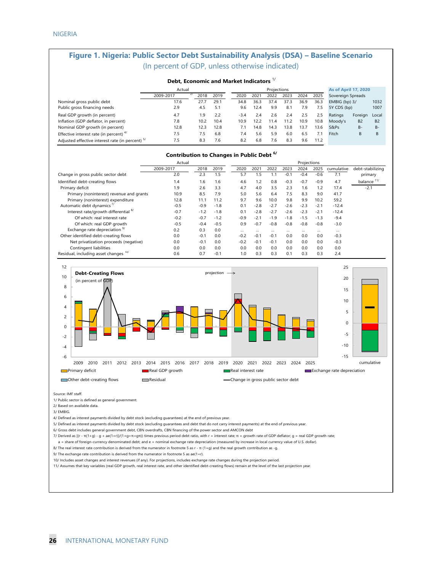### **Figure 1. Nigeria: Public Sector Debt Sustainability Analysis (DSA) – Baseline Scenario**  (In percent of GDP, unless otherwise indicated)

|                                                  | Debt, Economic and Market Indicators " |      |      |        |      |             |      |      |      |                             |                |                |
|--------------------------------------------------|----------------------------------------|------|------|--------|------|-------------|------|------|------|-----------------------------|----------------|----------------|
|                                                  | Actual                                 |      |      |        |      | Projections |      |      |      | <b>As of April 17, 2020</b> |                |                |
|                                                  | 21<br>2009-2017                        | 2018 | 2019 | 2020   | 2021 | 2022        | 2023 | 2024 | 2025 | Sovereign Spreads           |                |                |
| Nominal gross public debt                        | 17.6                                   | 27.7 | 29.1 | 34.8   | 36.3 | 37.4        | 37.3 | 36.9 | 36.3 | EMBIG (bp) 3/               |                | 1032           |
| Public gross financing needs                     | 2.9                                    | 4.5  | 5.1  | 9.6    | 12.4 | 9.9         | 8.1  | 7.9  | 7.5  | 5Y CDS (bp)                 |                | 1007           |
| Real GDP growth (in percent)                     | 4.7                                    | 1.9  | 2.2  | $-3.4$ | 2.4  | 2.6         | 2.4  | 2.5  | 2.5  | Ratings                     | Foreign        | Local          |
| Inflation (GDP deflator, in percent)             | 7.8                                    | 10.2 | 10.4 | 10.9   | 12.2 | 11.4        | 11.2 | 10.9 | 10.8 | Moody's                     | B <sub>2</sub> | B <sub>2</sub> |
| Nominal GDP growth (in percent)                  | 12.8                                   | 12.3 | 12.8 | 7.1    | 14.8 | 14.3        | 13.8 | 13.7 | 13.6 | S&Ps                        | $B -$          | $B -$          |
| Effective interest rate (in percent) $4/$        | 7.5                                    | 7.5  | 6.8  | 7.4    | 5.6  | 5.9         | 6.0  | 6.5  | 7.1  | Fitch                       | B              | B              |
| Adjusted effective interest rate (in percent) 5/ | 7.5                                    | 8.3  | 7.6  | 8.2    | 6.8  | 7.6         | 8.3  | 9.6  | 11.2 |                             |                |                |

#### **Contribution to Changes in Public Debt 6/**

|                                                  | Actual    |        |        |        |          |        |        | Projections |        |            |                        |
|--------------------------------------------------|-----------|--------|--------|--------|----------|--------|--------|-------------|--------|------------|------------------------|
|                                                  | 2009-2017 | 2018   | 2019   | 2020   | 2021     | 2022   | 2023   | 2024        | 2025   | cumulative | debt-stabilizing       |
| Change in gross public sector debt               | 2.0       | 2.3    | 1.5    | 5.7    | 1.5      | 1.1    | $-0.1$ | $-0.4$      | $-0.6$ | 7.1        | primary                |
| Identified debt-creating flows                   | 1.4       | 1.6    | 1.6    | 4.6    | 1.2      | 0.8    | $-0.3$ | $-0.7$      | $-0.9$ | 4.7        | balance <sup>11/</sup> |
| Primary deficit                                  | 1.9       | 2.6    | 3.3    | 4.7    | 4.0      | 3.5    | 2.3    | 1.6         | 1.2    | 17.4       | $-2.1$                 |
| Primary (noninterest) revenue and grants         | 10.9      | 8.5    | 7.9    | 5.0    | 5.6      | 6.4    | 7.5    | 8.3         | 9.0    | 41.7       |                        |
| Primary (noninterest) expenditure                | 12.8      | 11.1   | 11.2   | 9.7    | 9.6      | 10.0   | 9.8    | 9.9         | 10.2   | 59.2       |                        |
| Automatic debt dynamics <sup>7/</sup>            | $-0.5$    | $-0.9$ | $-1.8$ | 0.1    | $-2.8$   | $-2.7$ | $-2.6$ | $-2.3$      | $-2.1$ | $-12.4$    |                        |
| Interest rate/growth differential <sup>8/</sup>  | $-0.7$    | $-1.2$ | $-1.8$ | 0.1    | $-2.8$   | $-2.7$ | $-2.6$ | $-2.3$      | $-2.1$ | $-12.4$    |                        |
| Of which: real interest rate                     | $-0.2$    | $-0.7$ | $-1.2$ | $-0.9$ | $-2.1$   | $-1.9$ | $-1.8$ | $-1.5$      | $-1.3$ | $-9.4$     |                        |
| Of which: real GDP growth                        | $-0.5$    | $-0.4$ | $-0.5$ | 0.9    | $-0.7$   | $-0.8$ | $-0.8$ | $-0.8$      | $-0.8$ | $-3.0$     |                        |
| Exchange rate depreciation <sup>9/</sup>         | 0.2       | 0.3    | 0.0    |        | $\cdots$ |        |        | $\cdots$    |        |            |                        |
| Other identified debt-creating flows             | 0.0       | $-0.1$ | 0.0    | $-0.2$ | $-0.1$   | $-0.1$ | 0.0    | 0.0         | 0.0    | $-0.3$     |                        |
| Net privatization proceeds (negative)            | 0.0       | $-0.1$ | 0.0    | $-0.2$ | $-0.1$   | $-0.1$ | 0.0    | 0.0         | 0.0    | $-0.3$     |                        |
| Contingent liabilities                           | 0.0       | 0.0    | 0.0    | 0.0    | 0.0      | 0.0    | 0.0    | 0.0         | 0.0    | 0.0        |                        |
| Residual, including asset changes <sup>10/</sup> | 0.6       | 0.7    | $-0.1$ | 1.0    | 0.3      | 0.3    | 0.1    | 0.3         | 0.3    | 2.4        |                        |



Source: IMF staff.

1/ Public sector is defined as general government.

2/ Based on available data.

3/ EMBIG.

4/ Defined as interest payments divided by debt stock (excluding guarantees) at the end of previous year.

5/ Defined as interest payments divided by debt stock (excluding guarantees and debt that do not carry interest payments) at the end of previous year.

6/ Gross debt includes general government debt, CBN overdrafts, CBN financing of the power sector and AMCON debt

7/ Derived as [(r - π(1+g) - g + ae(1+r)]/(1+g+π+gπ)) times previous period debt ratio, with r = interest rate; π = growth rate of GDP deflator; g = real GDP growth rate;

a = share of foreign-currency denominated debt; and e = nominal exchange rate depreciation (measured by increase in local currency value of U.S. dollar).

8/ The real interest rate contribution is derived from the numerator in footnote 5 as r - π (1+g) and the real growth contribution as -g.

9/ The exchange rate contribution is derived from the numerator in footnote 5 as ae(1+r).

10/ Includes asset changes and interest revenues (if any). For projections, includes exchange rate changes during the projection period.

11/ Assumes that key variables (real GDP growth, real interest rate, and other identified debt-creating flows) remain at the level of the last projection year.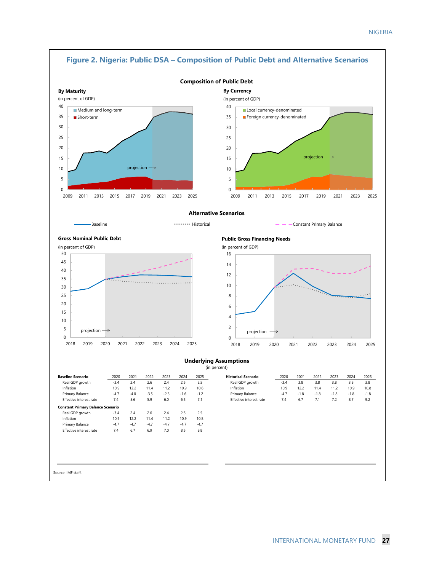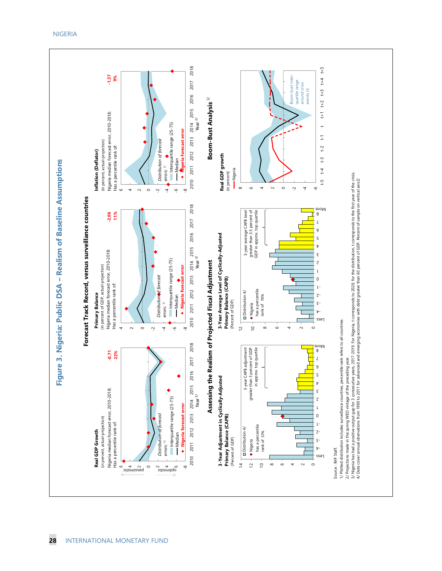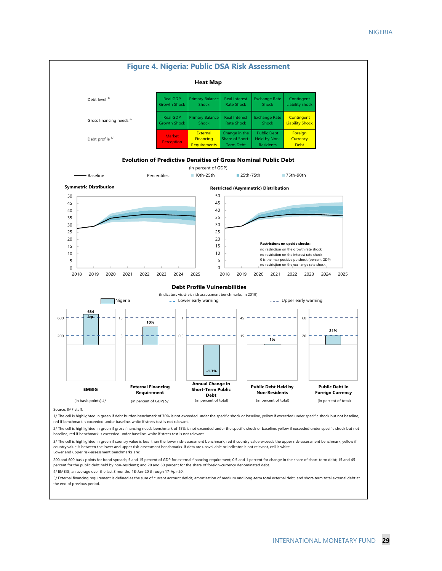

5/ External financing requirement is defined as the sum of current account deficit, amortization of medium and long-term total external debt, and short-term total external debt at the end of previous period.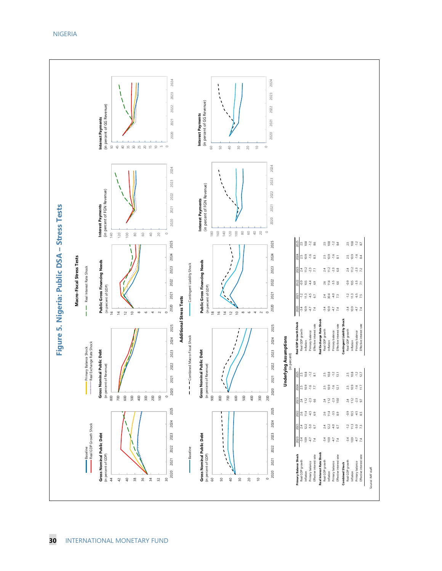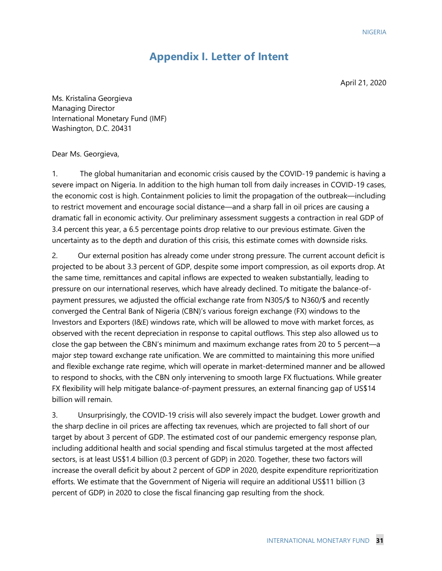### **Appendix I. Letter of Intent**

April 21, 2020

Ms. Kristalina Georgieva Managing Director International Monetary Fund (IMF) Washington, D.C. 20431

#### Dear Ms. Georgieva,

1. The global humanitarian and economic crisis caused by the COVID-19 pandemic is having a severe impact on Nigeria. In addition to the high human toll from daily increases in COVID-19 cases, the economic cost is high. Containment policies to limit the propagation of the outbreak—including to restrict movement and encourage social distance—and a sharp fall in oil prices are causing a dramatic fall in economic activity. Our preliminary assessment suggests a contraction in real GDP of 3.4 percent this year, a 6.5 percentage points drop relative to our previous estimate. Given the uncertainty as to the depth and duration of this crisis, this estimate comes with downside risks.

2. Our external position has already come under strong pressure. The current account deficit is projected to be about 3.3 percent of GDP, despite some import compression, as oil exports drop. At the same time, remittances and capital inflows are expected to weaken substantially, leading to pressure on our international reserves, which have already declined. To mitigate the balance-ofpayment pressures, we adjusted the official exchange rate from N305/\$ to N360/\$ and recently converged the Central Bank of Nigeria (CBN)'s various foreign exchange (FX) windows to the Investors and Exporters (I&E) windows rate, which will be allowed to move with market forces, as observed with the recent depreciation in response to capital outflows. This step also allowed us to close the gap between the CBN's minimum and maximum exchange rates from 20 to 5 percent—a major step toward exchange rate unification. We are committed to maintaining this more unified and flexible exchange rate regime, which will operate in market-determined manner and be allowed to respond to shocks, with the CBN only intervening to smooth large FX fluctuations. While greater FX flexibility will help mitigate balance-of-payment pressures, an external financing gap of US\$14 billion will remain.

3. Unsurprisingly, the COVID-19 crisis will also severely impact the budget. Lower growth and the sharp decline in oil prices are affecting tax revenues, which are projected to fall short of our target by about 3 percent of GDP. The estimated cost of our pandemic emergency response plan, including additional health and social spending and fiscal stimulus targeted at the most affected sectors, is at least US\$1.4 billion (0.3 percent of GDP) in 2020. Together, these two factors will increase the overall deficit by about 2 percent of GDP in 2020, despite expenditure reprioritization efforts. We estimate that the Government of Nigeria will require an additional US\$11 billion (3 percent of GDP) in 2020 to close the fiscal financing gap resulting from the shock.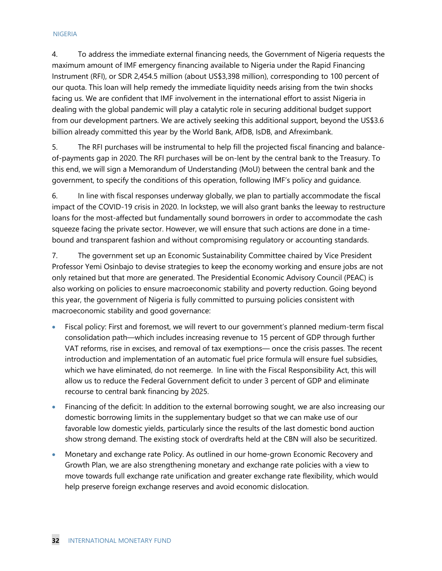#### NIGERIA

4. To address the immediate external financing needs, the Government of Nigeria requests the maximum amount of IMF emergency financing available to Nigeria under the Rapid Financing Instrument (RFI), or SDR 2,454.5 million (about US\$3,398 million), corresponding to 100 percent of our quota. This loan will help remedy the immediate liquidity needs arising from the twin shocks facing us. We are confident that IMF involvement in the international effort to assist Nigeria in dealing with the global pandemic will play a catalytic role in securing additional budget support from our development partners. We are actively seeking this additional support, beyond the US\$3.6 billion already committed this year by the World Bank, AfDB, IsDB, and Afreximbank.

5. The RFI purchases will be instrumental to help fill the projected fiscal financing and balanceof-payments gap in 2020. The RFI purchases will be on-lent by the central bank to the Treasury. To this end, we will sign a Memorandum of Understanding (MoU) between the central bank and the government, to specify the conditions of this operation, following IMF's policy and guidance.

6. In line with fiscal responses underway globally, we plan to partially accommodate the fiscal impact of the COVID-19 crisis in 2020. In lockstep, we will also grant banks the leeway to restructure loans for the most-affected but fundamentally sound borrowers in order to accommodate the cash squeeze facing the private sector. However, we will ensure that such actions are done in a timebound and transparent fashion and without compromising regulatory or accounting standards.

7. The government set up an Economic Sustainability Committee chaired by Vice President Professor Yemi Osinbajo to devise strategies to keep the economy working and ensure jobs are not only retained but that more are generated. The Presidential Economic Advisory Council (PEAC) is also working on policies to ensure macroeconomic stability and poverty reduction. Going beyond this year, the government of Nigeria is fully committed to pursuing policies consistent with macroeconomic stability and good governance:

- Fiscal policy: First and foremost, we will revert to our government's planned medium-term fiscal consolidation path—which includes increasing revenue to 15 percent of GDP through further VAT reforms, rise in excises, and removal of tax exemptions— once the crisis passes. The recent introduction and implementation of an automatic fuel price formula will ensure fuel subsidies, which we have eliminated, do not reemerge. In line with the Fiscal Responsibility Act, this will allow us to reduce the Federal Government deficit to under 3 percent of GDP and eliminate recourse to central bank financing by 2025.
- Financing of the deficit: In addition to the external borrowing sought, we are also increasing our domestic borrowing limits in the supplementary budget so that we can make use of our favorable low domestic yields, particularly since the results of the last domestic bond auction show strong demand. The existing stock of overdrafts held at the CBN will also be securitized.
- Monetary and exchange rate Policy. As outlined in our home-grown Economic Recovery and Growth Plan, we are also strengthening monetary and exchange rate policies with a view to move towards full exchange rate unification and greater exchange rate flexibility, which would help preserve foreign exchange reserves and avoid economic dislocation.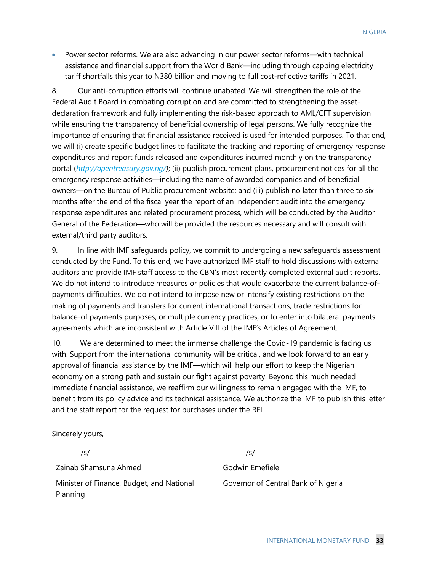• Power sector reforms. We are also advancing in our power sector reforms—with technical assistance and financial support from the World Bank—including through capping electricity tariff shortfalls this year to N380 billion and moving to full cost-reflective tariffs in 2021.

8. Our anti-corruption efforts will continue unabated. We will strengthen the role of the Federal Audit Board in combating corruption and are committed to strengthening the assetdeclaration framework and fully implementing the risk-based approach to AML/CFT supervision while ensuring the transparency of beneficial ownership of legal persons. We fully recognize the importance of ensuring that financial assistance received is used for intended purposes. To that end, we will (i) create specific budget lines to facilitate the tracking and reporting of emergency response expenditures and report funds released and expenditures incurred monthly on the transparency portal (*[http://opentreasury.gov.ng/\)](https://nam03.safelinks.protection.outlook.com/?url=http%3A%2F%2Fopentreasury.gov.ng%2F&data=02%7C01%7Csrashid%40worldbank.org%7Cc1bb40cc05b34807c3c808d7e02a0c76%7C31a2fec0266b4c67b56e2796d8f59c36%7C0%7C0%7C637224343526549371&sdata=GVrI4R%2Fohw%2BL8MZ1svLDk5ZE3aOD4LPl0kl8bnimH6A%3D&reserved=0)*; (ii) publish procurement plans, procurement notices for all the emergency response activities—including the name of awarded companies and of beneficial owners—on the Bureau of Public procurement website; and (iii) publish no later than three to six months after the end of the fiscal year the report of an independent audit into the emergency response expenditures and related procurement process, which will be conducted by the Auditor General of the Federation—who will be provided the resources necessary and will consult with external/third party auditors.

9. In line with IMF safeguards policy, we commit to undergoing a new safeguards assessment conducted by the Fund. To this end, we have authorized IMF staff to hold discussions with external auditors and provide IMF staff access to the CBN's most recently completed external audit reports. We do not intend to introduce measures or policies that would exacerbate the current balance-ofpayments difficulties. We do not intend to impose new or intensify existing restrictions on the making of payments and transfers for current international transactions, trade restrictions for balance-of payments purposes, or multiple currency practices, or to enter into bilateral payments agreements which are inconsistent with Article VIII of the IMF's Articles of Agreement.

10. We are determined to meet the immense challenge the Covid-19 pandemic is facing us with. Support from the international community will be critical, and we look forward to an early approval of financial assistance by the IMF—which will help our effort to keep the Nigerian economy on a strong path and sustain our fight against poverty. Beyond this much needed immediate financial assistance, we reaffirm our willingness to remain engaged with the IMF, to benefit from its policy advice and its technical assistance. We authorize the IMF to publish this letter and the staff report for the request for purchases under the RFI.

Sincerely yours,

/s/

Zainab Shamsuna Ahmed

Minister of Finance, Budget, and National Planning

/s/

Godwin Emefiele Governor of Central Bank of Nigeria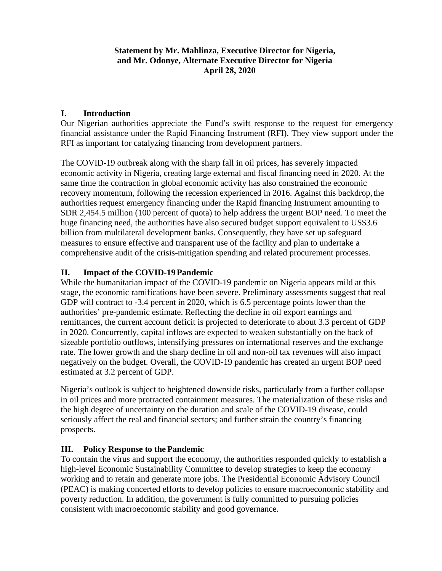### **Statement by Mr. Mahlinza, Executive Director for Nigeria, and Mr. Odonye, Alternate Executive Director for Nigeria April 28, 2020**

### **I. Introduction**

Our Nigerian authorities appreciate the Fund's swift response to the request for emergency financial assistance under the Rapid Financing Instrument (RFI). They view support under the RFI as important for catalyzing financing from development partners.

The COVID-19 outbreak along with the sharp fall in oil prices, has severely impacted economic activity in Nigeria, creating large external and fiscal financing need in 2020. At the same time the contraction in global economic activity has also constrained the economic recovery momentum, following the recession experienced in 2016. Against this backdrop, the authorities request emergency financing under the Rapid financing Instrument amounting to SDR 2,454.5 million (100 percent of quota) to help address the urgent BOP need. To meet the huge financing need, the authorities have also secured budget support equivalent to US\$3.6 billion from multilateral development banks. Consequently, they have set up safeguard measures to ensure effective and transparent use of the facility and plan to undertake a comprehensive audit of the crisis-mitigation spending and related procurement processes.

### **II. Impact of the COVID-19Pandemic**

While the humanitarian impact of the COVID-19 pandemic on Nigeria appears mild at this stage, the economic ramifications have been severe. Preliminary assessments suggest that real GDP will contract to -3.4 percent in 2020, which is 6.5 percentage points lower than the authorities' pre-pandemic estimate. Reflecting the decline in oil export earnings and remittances, the current account deficit is projected to deteriorate to about 3.3 percent of GDP in 2020. Concurrently, capital inflows are expected to weaken substantially on the back of sizeable portfolio outflows, intensifying pressures on international reserves and the exchange rate. The lower growth and the sharp decline in oil and non-oil tax revenues will also impact negatively on the budget. Overall, the COVID-19 pandemic has created an urgent BOP need estimated at 3.2 percent of GDP.

Nigeria's outlook is subject to heightened downside risks, particularly from a further collapse in oil prices and more protracted containment measures. The materialization of these risks and the high degree of uncertainty on the duration and scale of the COVID-19 disease, could seriously affect the real and financial sectors; and further strain the country's financing prospects.

### **III. Policy Response to the Pandemic**

To contain the virus and support the economy, the authorities responded quickly to establish a high-level Economic Sustainability Committee to develop strategies to keep the economy working and to retain and generate more jobs. The Presidential Economic Advisory Council (PEAC) is making concerted efforts to develop policies to ensure macroeconomic stability and poverty reduction. In addition, the government is fully committed to pursuing policies consistent with macroeconomic stability and good governance.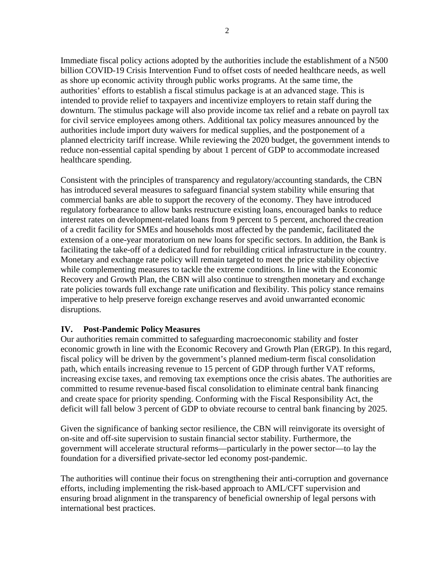Immediate fiscal policy actions adopted by the authorities include the establishment of a N500 billion COVID-19 Crisis Intervention Fund to offset costs of needed healthcare needs, as well as shore up economic activity through public works programs. At the same time, the authorities' efforts to establish a fiscal stimulus package is at an advanced stage. This is intended to provide relief to taxpayers and incentivize employers to retain staff during the downturn. The stimulus package will also provide income tax relief and a rebate on payroll tax for civil service employees among others. Additional tax policy measures announced by the authorities include import duty waivers for medical supplies, and the postponement of a planned electricity tariff increase. While reviewing the 2020 budget, the government intends to reduce non-essential capital spending by about 1 percent of GDP to accommodate increased healthcare spending.

Consistent with the principles of transparency and regulatory/accounting standards, the CBN has introduced several measures to safeguard financial system stability while ensuring that commercial banks are able to support the recovery of the economy. They have introduced regulatory forbearance to allow banks restructure existing loans, encouraged banks to reduce interest rates on development-related loans from 9 percent to 5 percent, anchored the creation of a credit facility for SMEs and households most affected by the pandemic, facilitated the extension of a one-year moratorium on new loans for specific sectors. In addition, the Bank is facilitating the take-off of a dedicated fund for rebuilding critical infrastructure in the country. Monetary and exchange rate policy will remain targeted to meet the price stability objective while complementing measures to tackle the extreme conditions. In line with the Economic Recovery and Growth Plan, the CBN will also continue to strengthen monetary and exchange rate policies towards full exchange rate unification and flexibility. This policy stance remains imperative to help preserve foreign exchange reserves and avoid unwarranted economic disruptions.

### **IV. Post-Pandemic PolicyMeasures**

Our authorities remain committed to safeguarding macroeconomic stability and foster economic growth in line with the Economic Recovery and Growth Plan (ERGP). In this regard, fiscal policy will be driven by the government's planned medium-term fiscal consolidation path, which entails increasing revenue to 15 percent of GDP through further VAT reforms, increasing excise taxes, and removing tax exemptions once the crisis abates. The authorities are committed to resume revenue-based fiscal consolidation to eliminate central bank financing and create space for priority spending. Conforming with the Fiscal Responsibility Act, the deficit will fall below 3 percent of GDP to obviate recourse to central bank financing by 2025.

Given the significance of banking sector resilience, the CBN will reinvigorate its oversight of on-site and off-site supervision to sustain financial sector stability. Furthermore, the government will accelerate structural reforms—particularly in the power sector—to lay the foundation for a diversified private-sector led economy post-pandemic.

The authorities will continue their focus on strengthening their anti-corruption and governance efforts, including implementing the risk-based approach to AML/CFT supervision and ensuring broad alignment in the transparency of beneficial ownership of legal persons with international best practices.